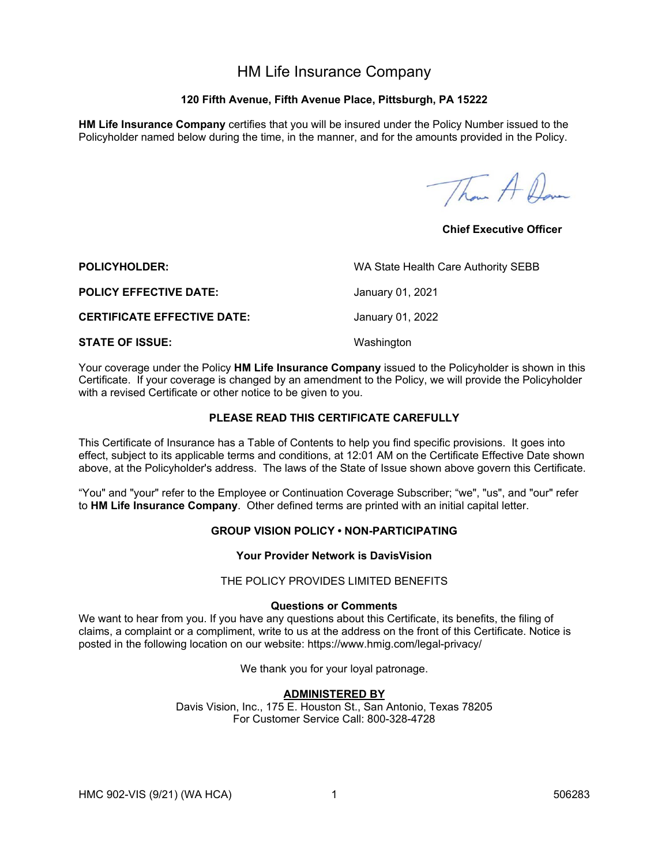# HM Life Insurance Company

# **120 Fifth Avenue, Fifth Avenue Place, Pittsburgh, PA 15222**

**HM Life Insurance Company** certifies that you will be insured under the Policy Number issued to the Policyholder named below during the time, in the manner, and for the amounts provided in the Policy.

Than A Dave

**Chief Executive Officer** 

| <b>POLICYHOLDER:</b>               | WA State Health Care Authority SEBB |
|------------------------------------|-------------------------------------|
| <b>POLICY EFFECTIVE DATE:</b>      | January 01, 2021                    |
| <b>CERTIFICATE EFFECTIVE DATE:</b> | January 01, 2022                    |
| <b>STATE OF ISSUE:</b>             | Washington                          |

Your coverage under the Policy **HM Life Insurance Company** issued to the Policyholder is shown in this Certificate. If your coverage is changed by an amendment to the Policy, we will provide the Policyholder with a revised Certificate or other notice to be given to you.

# **PLEASE READ THIS CERTIFICATE CAREFULLY**

This Certificate of Insurance has a Table of Contents to help you find specific provisions. It goes into effect, subject to its applicable terms and conditions, at 12:01 AM on the Certificate Effective Date shown above, at the Policyholder's address. The laws of the State of Issue shown above govern this Certificate.

"You" and "your" refer to the Employee or Continuation Coverage Subscriber; "we", "us", and "our" refer to **HM Life Insurance Company**.Other defined terms are printed with an initial capital letter.

# **GROUP VISION POLICY • NON-PARTICIPATING**

### **Your Provider Network is DavisVision**

#### THE POLICY PROVIDES LIMITED BENEFITS

# **Questions or Comments**

We want to hear from you. If you have any questions about this Certificate, its benefits, the filing of claims, a complaint or a compliment, write to us at the address on the front of this Certificate. Notice is posted in the following location on our website: https://www.hmig.com/legal-privacy/

We thank you for your loyal patronage.

# **ADMINISTERED BY**

Davis Vision, Inc., 175 E. Houston St., San Antonio, Texas 78205 For Customer Service Call: 800-328-4728

HMC 902-VIS (9/21) (WA HCA) 1 1 506283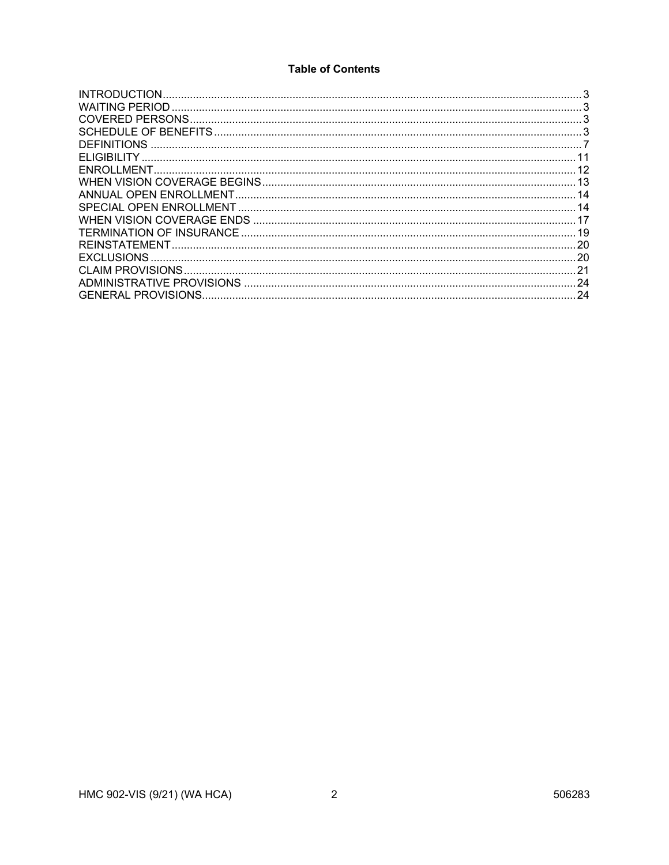# **Table of Contents**

|                    | 3   |
|--------------------|-----|
|                    |     |
|                    |     |
|                    |     |
| <b>DEFINITIONS</b> |     |
|                    |     |
|                    | -12 |
|                    |     |
|                    | 14  |
|                    |     |
|                    |     |
|                    |     |
|                    |     |
| <b>EXCLUSIONS</b>  |     |
|                    |     |
|                    | .24 |
|                    | 24  |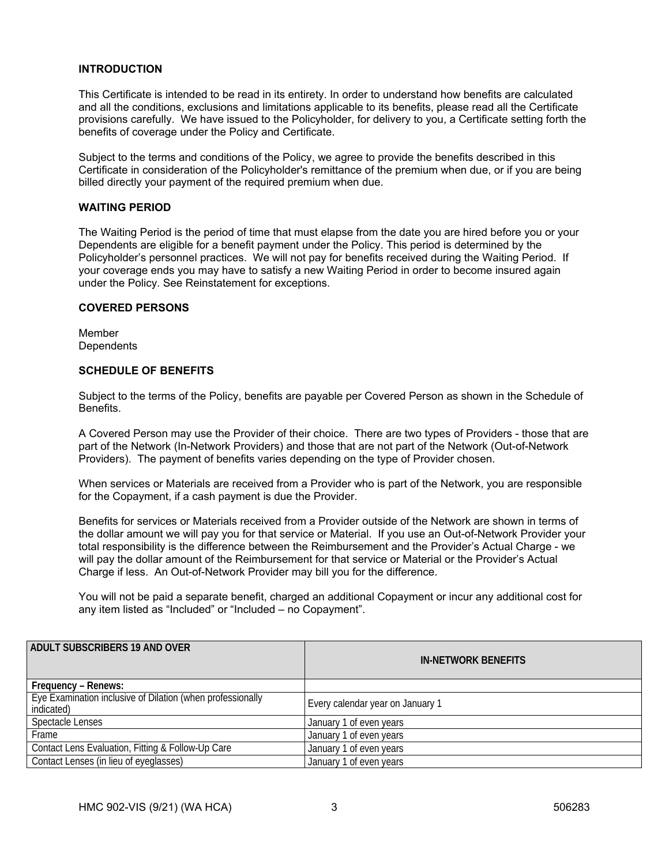### **INTRODUCTION**

This Certificate is intended to be read in its entirety. In order to understand how benefits are calculated and all the conditions, exclusions and limitations applicable to its benefits, please read all the Certificate provisions carefully. We have issued to the Policyholder, for delivery to you, a Certificate setting forth the benefits of coverage under the Policy and Certificate.

Subject to the terms and conditions of the Policy, we agree to provide the benefits described in this Certificate in consideration of the Policyholder's remittance of the premium when due, or if you are being billed directly your payment of the required premium when due.

### **WAITING PERIOD**

The Waiting Period is the period of time that must elapse from the date you are hired before you or your Dependents are eligible for a benefit payment under the Policy. This period is determined by the Policyholder's personnel practices. We will not pay for benefits received during the Waiting Period. If your coverage ends you may have to satisfy a new Waiting Period in order to become insured again under the Policy. See Reinstatement for exceptions.

#### **COVERED PERSONS**

Member **Dependents** 

### **SCHEDULE OF BENEFITS**

Subject to the terms of the Policy, benefits are payable per Covered Person as shown in the Schedule of **Benefits** 

A Covered Person may use the Provider of their choice. There are two types of Providers - those that are part of the Network (In-Network Providers) and those that are not part of the Network (Out-of-Network Providers). The payment of benefits varies depending on the type of Provider chosen.

When services or Materials are received from a Provider who is part of the Network, you are responsible for the Copayment, if a cash payment is due the Provider.

Benefits for services or Materials received from a Provider outside of the Network are shown in terms of the dollar amount we will pay you for that service or Material. If you use an Out-of-Network Provider your total responsibility is the difference between the Reimbursement and the Provider's Actual Charge - we will pay the dollar amount of the Reimbursement for that service or Material or the Provider's Actual Charge if less. An Out-of-Network Provider may bill you for the difference.

You will not be paid a separate benefit, charged an additional Copayment or incur any additional cost for any item listed as "Included" or "Included – no Copayment".

| <b>ADULT SUBSCRIBERS 19 AND OVER</b>                                     | <b>IN-NETWORK BENEFITS</b>       |
|--------------------------------------------------------------------------|----------------------------------|
| Frequency – Renews:                                                      |                                  |
| Eye Examination inclusive of Dilation (when professionally<br>indicated) | Every calendar year on January 1 |
| Spectacle Lenses                                                         | January 1 of even years          |
| Frame                                                                    | January 1 of even years          |
| Contact Lens Evaluation, Fitting & Follow-Up Care                        | January 1 of even years          |
| Contact Lenses (in lieu of eyeglasses)                                   | January 1 of even years          |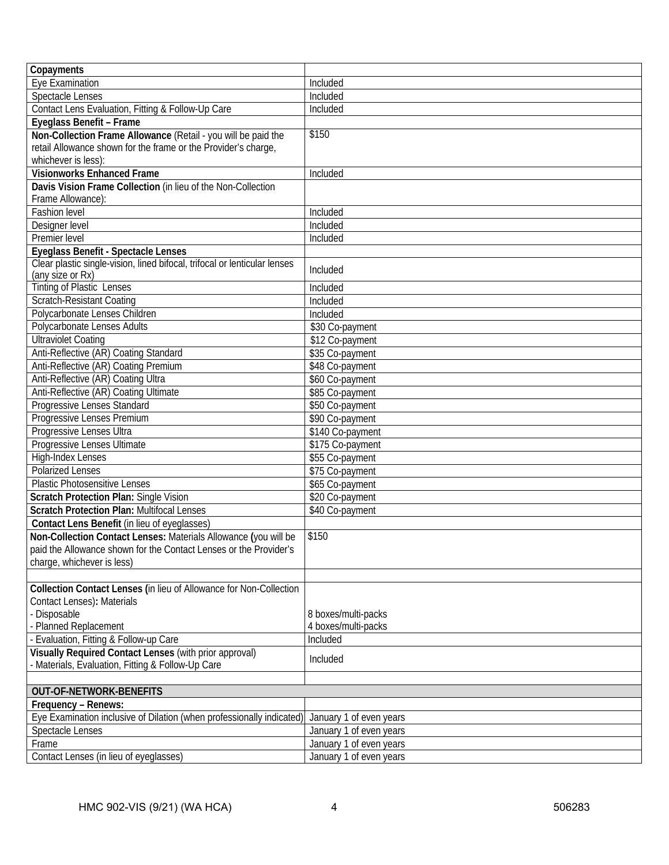| Copayments                                                                |                         |
|---------------------------------------------------------------------------|-------------------------|
| Eye Examination                                                           | Included                |
| <b>Spectacle Lenses</b>                                                   | Included                |
| Contact Lens Evaluation, Fitting & Follow-Up Care                         | $IncI$ uded             |
| Eyeglass Benefit - Frame                                                  |                         |
| Non-Collection Frame Allowance (Retail - you will be paid the             | \$150                   |
| retail Allowance shown for the frame or the Provider's charge,            |                         |
| whichever is less):                                                       |                         |
| Visionworks Enhanced Frame                                                | Included                |
| Davis Vision Frame Collection (in lieu of the Non-Collection              |                         |
| Frame Allowance):                                                         |                         |
| Fashion level                                                             | Included                |
| Designer level                                                            | Included                |
| Premier level                                                             | Included                |
| Eyeglass Benefit - Spectacle Lenses                                       |                         |
| Clear plastic single-vision, lined bifocal, trifocal or lenticular lenses | Included                |
| (any size or Rx)                                                          |                         |
| <b>Tinting of Plastic Lenses</b>                                          | Included                |
| <b>Scratch-Resistant Coating</b>                                          | Included                |
| Polycarbonate Lenses Children                                             | Included                |
| Polycarbonate Lenses Adults                                               | \$30 Co-payment         |
| <b>Ultraviolet Coating</b>                                                | \$12 Co-payment         |
| Anti-Reflective (AR) Coating Standard                                     | \$35 Co-payment         |
| Anti-Reflective (AR) Coating Premium                                      | \$48 Co-payment         |
| Anti-Reflective (AR) Coating Ultra                                        | \$60 Co-payment         |
| Anti-Reflective (AR) Coating Ultimate                                     | \$85 Co-payment         |
| Progressive Lenses Standard                                               | \$50 Co-payment         |
| Progressive Lenses Premium                                                | \$90 Co-payment         |
| Progressive Lenses Ultra                                                  | \$140 Co-payment        |
| Progressive Lenses Ultimate                                               | \$175 Co-payment        |
| <b>High-Index Lenses</b>                                                  | \$55 Co-payment         |
| <b>Polarized Lenses</b>                                                   | \$75 Co-payment         |
| Plastic Photosensitive Lenses                                             | \$65 Co-payment         |
| <b>Scratch Protection Plan: Single Vision</b>                             | \$20 Co-payment         |
| <b>Scratch Protection Plan: Multifocal Lenses</b>                         | \$40 Co-payment         |
| Contact Lens Benefit (in lieu of eyeglasses)                              |                         |
| Non-Collection Contact Lenses: Materials Allowance (you will be           | \$150                   |
| paid the Allowance shown for the Contact Lenses or the Provider's         |                         |
| charge, whichever is less)                                                |                         |
|                                                                           |                         |
| Collection Contact Lenses (in lieu of Allowance for Non-Collection        |                         |
| Contact Lenses): Materials                                                |                         |
| - Disposable                                                              | 8 boxes/multi-packs     |
| Planned Replacement                                                       | 4 boxes/multi-packs     |
| Evaluation, Fitting & Follow-up Care                                      | Included                |
| Visually Required Contact Lenses (with prior approval)                    | Included                |
| Materials, Evaluation, Fitting & Follow-Up Care                           |                         |
|                                                                           |                         |
| <b>OUT-OF-NETWORK-BENEFITS</b>                                            |                         |
| Frequency - Renews:                                                       |                         |
| Eye Examination inclusive of Dilation (when professionally indicated)     | January 1 of even years |
| Spectacle Lenses                                                          | January 1 of even years |
| Frame                                                                     | January 1 of even years |
| Contact Lenses (in lieu of eyeglasses)                                    | January 1 of even years |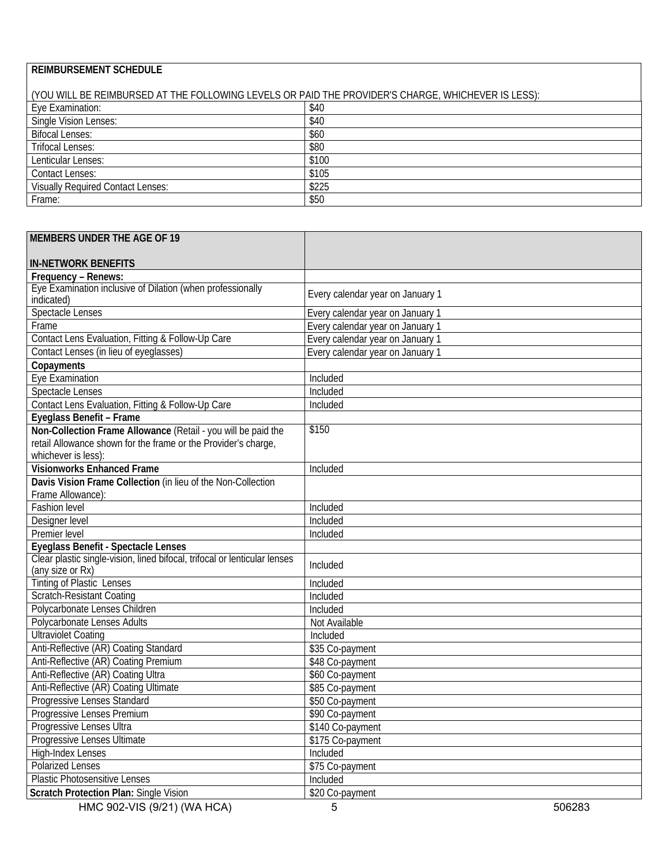# **REIMBURSEMENT SCHEDULE**

| (YOU WILL BE REIMBURSED AT THE FOLLOWING LEVELS OR PAID THE PROVIDER'S CHARGE, WHICHEVER IS LESS): |       |
|----------------------------------------------------------------------------------------------------|-------|
| Eye Examination:                                                                                   | \$40  |
| Single Vision Lenses:                                                                              | \$40  |
| <b>Bifocal Lenses:</b>                                                                             | \$60  |
| <b>Trifocal Lenses:</b>                                                                            | \$80  |
| Lenticular Lenses:                                                                                 | \$100 |
| <b>Contact Lenses:</b>                                                                             | \$105 |
| <b>Visually Required Contact Lenses:</b>                                                           | \$225 |
| Frame:                                                                                             | \$50  |

| <b>MEMBERS UNDER THE AGE OF 19</b>                                                            |                                  |
|-----------------------------------------------------------------------------------------------|----------------------------------|
|                                                                                               |                                  |
| <b>IN-NETWORK BENEFITS</b>                                                                    |                                  |
| Frequency - Renews:<br>Eye Examination inclusive of Dilation (when professionally             |                                  |
| indicated)                                                                                    | Every calendar year on January 1 |
| <b>Spectacle Lenses</b>                                                                       | Every calendar year on January 1 |
| Frame                                                                                         | Every calendar year on January 1 |
| Contact Lens Evaluation, Fitting & Follow-Up Care                                             | Every calendar year on January 1 |
| Contact Lenses (in lieu of eyeglasses)                                                        | Every calendar year on January 1 |
| Copayments                                                                                    |                                  |
| Eye Examination                                                                               | Included                         |
| <b>Spectacle Lenses</b>                                                                       | Included                         |
| Contact Lens Evaluation, Fitting & Follow-Up Care                                             | Included                         |
| Eyeglass Benefit - Frame                                                                      |                                  |
| Non-Collection Frame Allowance (Retail - you will be paid the                                 | \$150                            |
| retail Allowance shown for the frame or the Provider's charge,                                |                                  |
| whichever is less):                                                                           |                                  |
| <b>Visionworks Enhanced Frame</b>                                                             | Included                         |
| Davis Vision Frame Collection (in lieu of the Non-Collection                                  |                                  |
| Frame Allowance):                                                                             |                                  |
| Fashion level                                                                                 | Included                         |
| Designer level                                                                                | Included                         |
| Premier level                                                                                 | Included                         |
| Eyeglass Benefit - Spectacle Lenses                                                           |                                  |
| Clear plastic single-vision, lined bifocal, trifocal or lenticular lenses<br>(any size or Rx) | Included                         |
| <b>Tinting of Plastic Lenses</b>                                                              | Included                         |
| <b>Scratch-Resistant Coating</b>                                                              | Included                         |
| Polycarbonate Lenses Children                                                                 | Included                         |
| Polycarbonate Lenses Adults                                                                   | Not Available                    |
| <b>Ultraviolet Coating</b>                                                                    | Included                         |
| Anti-Reflective (AR) Coating Standard                                                         | \$35 Co-payment                  |
| Anti-Reflective (AR) Coating Premium                                                          | \$48 Co-payment                  |
| Anti-Reflective (AR) Coating Ultra                                                            | \$60 Co-payment                  |
| Anti-Reflective (AR) Coating Ultimate                                                         | \$85 Co-payment                  |
| Progressive Lenses Standard                                                                   | \$50 Co-payment                  |
| Progressive Lenses Premium                                                                    | \$90 Co-payment                  |
| Progressive Lenses Ultra                                                                      | \$140 Co-payment                 |
| Progressive Lenses Ultimate                                                                   | \$175 Co-payment                 |
| <b>High-Index Lenses</b>                                                                      | Included                         |
| Polarized Lenses                                                                              | \$75 Co-payment                  |
| <b>Plastic Photosensitive Lenses</b>                                                          | Included                         |
| <b>Scratch Protection Plan: Single Vision</b>                                                 | \$20 Co-payment                  |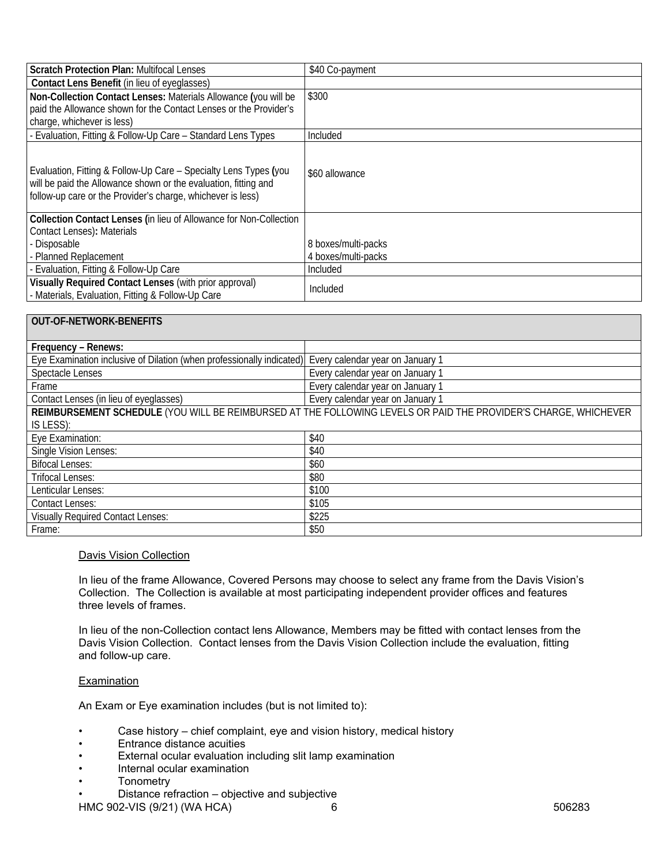| <b>Scratch Protection Plan: Multifocal Lenses</b>                                                                                                                                                  | \$40 Co-payment     |
|----------------------------------------------------------------------------------------------------------------------------------------------------------------------------------------------------|---------------------|
| Contact Lens Benefit (in lieu of eyeglasses)                                                                                                                                                       |                     |
| Non-Collection Contact Lenses: Materials Allowance (you will be                                                                                                                                    | \$300               |
| paid the Allowance shown for the Contact Lenses or the Provider's                                                                                                                                  |                     |
| charge, whichever is less)                                                                                                                                                                         |                     |
| - Evaluation, Fitting & Follow-Up Care - Standard Lens Types                                                                                                                                       | Included            |
| Evaluation, Fitting & Follow-Up Care - Specialty Lens Types (you<br>will be paid the Allowance shown or the evaluation, fitting and<br>follow-up care or the Provider's charge, whichever is less) | \$60 allowance      |
| Collection Contact Lenses (in lieu of Allowance for Non-Collection                                                                                                                                 |                     |
| Contact Lenses): Materials                                                                                                                                                                         |                     |
| - Disposable                                                                                                                                                                                       | 8 boxes/multi-packs |
| - Planned Replacement                                                                                                                                                                              | 4 boxes/multi-packs |
| - Evaluation, Fitting & Follow-Up Care                                                                                                                                                             | Included            |
| Visually Required Contact Lenses (with prior approval)<br>- Materials, Evaluation, Fitting & Follow-Up Care                                                                                        | Included            |

| <b>OUT-OF-NETWORK-BENEFITS</b>                                                                                  |                                  |
|-----------------------------------------------------------------------------------------------------------------|----------------------------------|
| Frequency - Renews:                                                                                             |                                  |
| Eye Examination inclusive of Dilation (when professionally indicated)                                           | Every calendar year on January 1 |
| <b>Spectacle Lenses</b>                                                                                         | Every calendar year on January 1 |
| Frame                                                                                                           | Every calendar year on January 1 |
| Contact Lenses (in lieu of eyeglasses)                                                                          | Every calendar year on January 1 |
| REIMBURSEMENT SCHEDULE (YOU WILL BE REIMBURSED AT THE FOLLOWING LEVELS OR PAID THE PROVIDER'S CHARGE, WHICHEVER |                                  |
| IS LESS):                                                                                                       |                                  |
| Eye Examination:                                                                                                | \$40                             |
| <b>Single Vision Lenses:</b>                                                                                    | \$40                             |
| <b>Bifocal Lenses:</b>                                                                                          | \$60                             |
| <b>Trifocal Lenses:</b>                                                                                         | \$80                             |
| Lenticular Lenses:                                                                                              | \$100                            |
| <b>Contact Lenses:</b>                                                                                          | \$105                            |
| <b>Visually Required Contact Lenses:</b>                                                                        | \$225                            |
| Frame:                                                                                                          | \$50                             |

# Davis Vision Collection

In lieu of the frame Allowance, Covered Persons may choose to select any frame from the Davis Vision's Collection. The Collection is available at most participating independent provider offices and features three levels of frames.

In lieu of the non-Collection contact lens Allowance, Members may be fitted with contact lenses from the Davis Vision Collection. Contact lenses from the Davis Vision Collection include the evaluation, fitting and follow-up care.

#### **Examination**

An Exam or Eye examination includes (but is not limited to):

- Case history chief complaint, eye and vision history, medical history
- Entrance distance acuities
- External ocular evaluation including slit lamp examination
- Internal ocular examination
- **Tonometry**
- Distance refraction objective and subjective

HMC 902-VIS (9/21) (WA HCA) 6 6 506283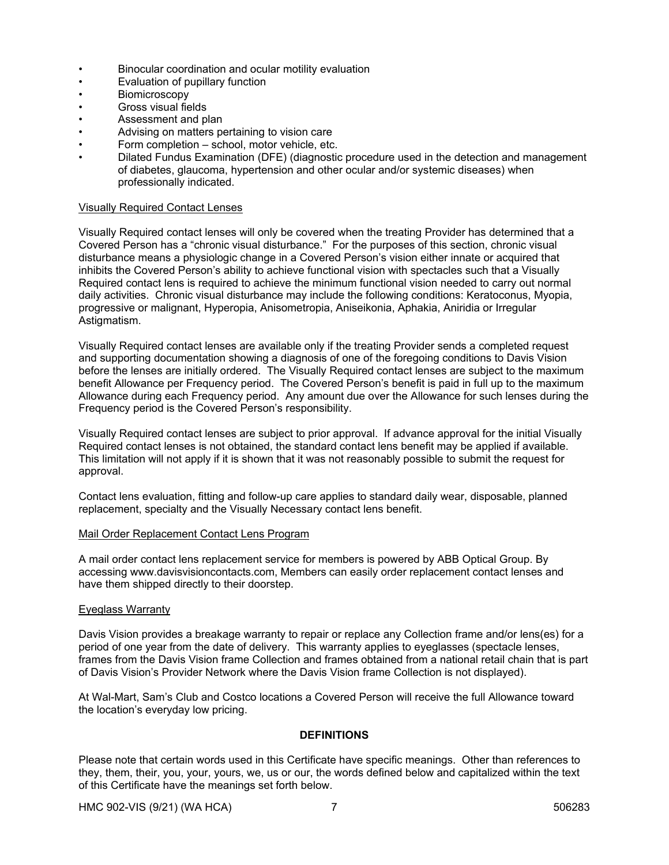- Binocular coordination and ocular motility evaluation
- Evaluation of pupillary function
- Biomicroscopy
- Gross visual fields
- Assessment and plan
- Advising on matters pertaining to vision care
- Form completion school, motor vehicle, etc.
- Dilated Fundus Examination (DFE) (diagnostic procedure used in the detection and management of diabetes, glaucoma, hypertension and other ocular and/or systemic diseases) when professionally indicated.

### Visually Required Contact Lenses

Visually Required contact lenses will only be covered when the treating Provider has determined that a Covered Person has a "chronic visual disturbance." For the purposes of this section, chronic visual disturbance means a physiologic change in a Covered Person's vision either innate or acquired that inhibits the Covered Person's ability to achieve functional vision with spectacles such that a Visually Required contact lens is required to achieve the minimum functional vision needed to carry out normal daily activities. Chronic visual disturbance may include the following conditions: Keratoconus, Myopia, progressive or malignant, Hyperopia, Anisometropia, Aniseikonia, Aphakia, Aniridia or Irregular Astigmatism.

Visually Required contact lenses are available only if the treating Provider sends a completed request and supporting documentation showing a diagnosis of one of the foregoing conditions to Davis Vision before the lenses are initially ordered. The Visually Required contact lenses are subject to the maximum benefit Allowance per Frequency period. The Covered Person's benefit is paid in full up to the maximum Allowance during each Frequency period. Any amount due over the Allowance for such lenses during the Frequency period is the Covered Person's responsibility.

Visually Required contact lenses are subject to prior approval. If advance approval for the initial Visually Required contact lenses is not obtained, the standard contact lens benefit may be applied if available. This limitation will not apply if it is shown that it was not reasonably possible to submit the request for approval.

Contact lens evaluation, fitting and follow-up care applies to standard daily wear, disposable, planned replacement, specialty and the Visually Necessary contact lens benefit.

### Mail Order Replacement Contact Lens Program

A mail order contact lens replacement service for members is powered by ABB Optical Group. By accessing www.davisvisioncontacts.com, Members can easily order replacement contact lenses and have them shipped directly to their doorstep.

### Eyeglass Warranty

Davis Vision provides a breakage warranty to repair or replace any Collection frame and/or lens(es) for a period of one year from the date of delivery. This warranty applies to eyeglasses (spectacle lenses, frames from the Davis Vision frame Collection and frames obtained from a national retail chain that is part of Davis Vision's Provider Network where the Davis Vision frame Collection is not displayed).

At Wal-Mart, Sam's Club and Costco locations a Covered Person will receive the full Allowance toward the location's everyday low pricing.

### **DEFINITIONS**

Please note that certain words used in this Certificate have specific meanings. Other than references to they, them, their, you, your, yours, we, us or our, the words defined below and capitalized within the text of this Certificate have the meanings set forth below.

HMC 902-VIS (9/21) (WA HCA) 7 7 506283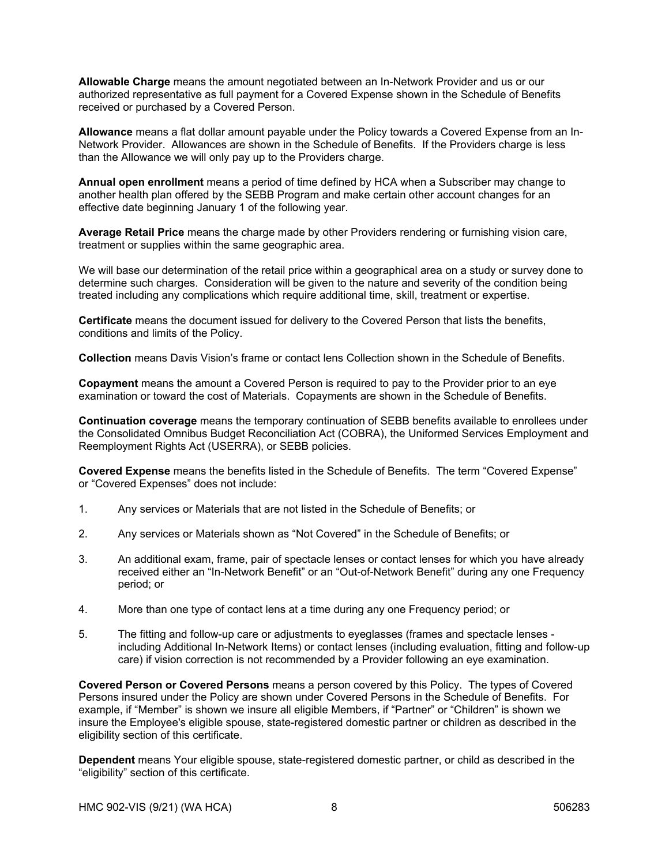**Allowable Charge** means the amount negotiated between an In-Network Provider and us or our authorized representative as full payment for a Covered Expense shown in the Schedule of Benefits received or purchased by a Covered Person.

**Allowance** means a flat dollar amount payable under the Policy towards a Covered Expense from an In-Network Provider. Allowances are shown in the Schedule of Benefits. If the Providers charge is less than the Allowance we will only pay up to the Providers charge.

**Annual open enrollment** means a period of time defined by HCA when a Subscriber may change to another health plan offered by the SEBB Program and make certain other account changes for an effective date beginning January 1 of the following year.

**Average Retail Price** means the charge made by other Providers rendering or furnishing vision care, treatment or supplies within the same geographic area.

We will base our determination of the retail price within a geographical area on a study or survey done to determine such charges. Consideration will be given to the nature and severity of the condition being treated including any complications which require additional time, skill, treatment or expertise.

**Certificate** means the document issued for delivery to the Covered Person that lists the benefits, conditions and limits of the Policy.

**Collection** means Davis Vision's frame or contact lens Collection shown in the Schedule of Benefits.

**Copayment** means the amount a Covered Person is required to pay to the Provider prior to an eye examination or toward the cost of Materials. Copayments are shown in the Schedule of Benefits.

**Continuation coverage** means the temporary continuation of SEBB benefits available to enrollees under the Consolidated Omnibus Budget Reconciliation Act (COBRA), the Uniformed Services Employment and Reemployment Rights Act (USERRA), or SEBB policies.

**Covered Expense** means the benefits listed in the Schedule of Benefits. The term "Covered Expense" or "Covered Expenses" does not include:

- 1. Any services or Materials that are not listed in the Schedule of Benefits; or
- 2. Any services or Materials shown as "Not Covered" in the Schedule of Benefits; or
- 3. An additional exam, frame, pair of spectacle lenses or contact lenses for which you have already received either an "In-Network Benefit" or an "Out-of-Network Benefit" during any one Frequency period; or
- 4. More than one type of contact lens at a time during any one Frequency period; or
- 5. The fitting and follow-up care or adjustments to eyeglasses (frames and spectacle lenses including Additional In-Network Items) or contact lenses (including evaluation, fitting and follow-up care) if vision correction is not recommended by a Provider following an eye examination.

**Covered Person or Covered Persons** means a person covered by this Policy. The types of Covered Persons insured under the Policy are shown under Covered Persons in the Schedule of Benefits. For example, if "Member" is shown we insure all eligible Members, if "Partner" or "Children" is shown we insure the Employee's eligible spouse, state-registered domestic partner or children as described in the eligibility section of this certificate.

**Dependent** means Your eligible spouse, state-registered domestic partner, or child as described in the "eligibility" section of this certificate.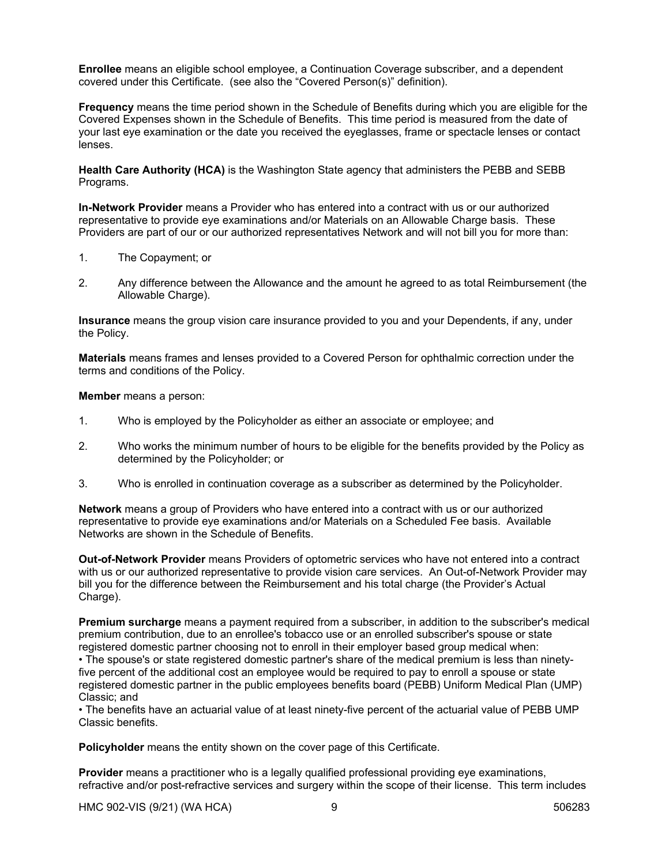**Enrollee** means an eligible school employee, a Continuation Coverage subscriber, and a dependent covered under this Certificate. (see also the "Covered Person(s)" definition).

**Frequency** means the time period shown in the Schedule of Benefits during which you are eligible for the Covered Expenses shown in the Schedule of Benefits. This time period is measured from the date of your last eye examination or the date you received the eyeglasses, frame or spectacle lenses or contact lenses.

**Health Care Authority (HCA)** is the Washington State agency that administers the PEBB and SEBB Programs.

**In-Network Provider** means a Provider who has entered into a contract with us or our authorized representative to provide eye examinations and/or Materials on an Allowable Charge basis. These Providers are part of our or our authorized representatives Network and will not bill you for more than:

- 1. The Copayment; or
- 2. Any difference between the Allowance and the amount he agreed to as total Reimbursement (the Allowable Charge).

**Insurance** means the group vision care insurance provided to you and your Dependents, if any, under the Policy.

**Materials** means frames and lenses provided to a Covered Person for ophthalmic correction under the terms and conditions of the Policy.

#### **Member** means a person:

- 1. Who is employed by the Policyholder as either an associate or employee; and
- 2. Who works the minimum number of hours to be eligible for the benefits provided by the Policy as determined by the Policyholder; or
- 3. Who is enrolled in continuation coverage as a subscriber as determined by the Policyholder.

**Network** means a group of Providers who have entered into a contract with us or our authorized representative to provide eye examinations and/or Materials on a Scheduled Fee basis. Available Networks are shown in the Schedule of Benefits.

**Out-of-Network Provider** means Providers of optometric services who have not entered into a contract with us or our authorized representative to provide vision care services. An Out-of-Network Provider may bill you for the difference between the Reimbursement and his total charge (the Provider's Actual Charge).

**Premium surcharge** means a payment required from a subscriber, in addition to the subscriber's medical premium contribution, due to an enrollee's tobacco use or an enrolled subscriber's spouse or state registered domestic partner choosing not to enroll in their employer based group medical when:

• The spouse's or state registered domestic partner's share of the medical premium is less than ninetyfive percent of the additional cost an employee would be required to pay to enroll a spouse or state registered domestic partner in the public employees benefits board (PEBB) Uniform Medical Plan (UMP) Classic; and

• The benefits have an actuarial value of at least ninety-five percent of the actuarial value of PEBB UMP Classic benefits.

**Policyholder** means the entity shown on the cover page of this Certificate.

**Provider** means a practitioner who is a legally qualified professional providing eye examinations, refractive and/or post-refractive services and surgery within the scope of their license. This term includes

HMC 902-VIS (9/21) (WA HCA) 9 506283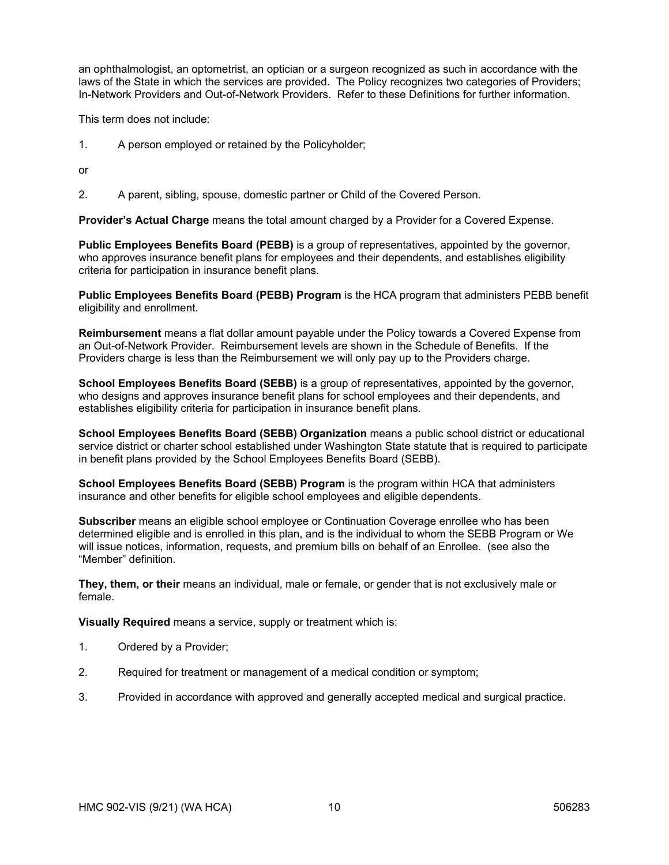an ophthalmologist, an optometrist, an optician or a surgeon recognized as such in accordance with the laws of the State in which the services are provided. The Policy recognizes two categories of Providers; In-Network Providers and Out-of-Network Providers. Refer to these Definitions for further information.

This term does not include:

1. A person employed or retained by the Policyholder;

or

2. A parent, sibling, spouse, domestic partner or Child of the Covered Person.

**Provider's Actual Charge** means the total amount charged by a Provider for a Covered Expense.

**Public Employees Benefits Board (PEBB)** is a group of representatives, appointed by the governor, who approves insurance benefit plans for employees and their dependents, and establishes eligibility criteria for participation in insurance benefit plans.

**Public Employees Benefits Board (PEBB) Program** is the HCA program that administers PEBB benefit eligibility and enrollment.

**Reimbursement** means a flat dollar amount payable under the Policy towards a Covered Expense from an Out-of-Network Provider. Reimbursement levels are shown in the Schedule of Benefits. If the Providers charge is less than the Reimbursement we will only pay up to the Providers charge.

**School Employees Benefits Board (SEBB)** is a group of representatives, appointed by the governor, who designs and approves insurance benefit plans for school employees and their dependents, and establishes eligibility criteria for participation in insurance benefit plans.

**School Employees Benefits Board (SEBB) Organization** means a public school district or educational service district or charter school established under Washington State statute that is required to participate in benefit plans provided by the School Employees Benefits Board (SEBB).

**School Employees Benefits Board (SEBB) Program** is the program within HCA that administers insurance and other benefits for eligible school employees and eligible dependents.

**Subscriber** means an eligible school employee or Continuation Coverage enrollee who has been determined eligible and is enrolled in this plan, and is the individual to whom the SEBB Program or We will issue notices, information, requests, and premium bills on behalf of an Enrollee. (see also the "Member" definition.

**They, them, or their** means an individual, male or female, or gender that is not exclusively male or female.

**Visually Required** means a service, supply or treatment which is:

- 1. Ordered by a Provider;
- 2. Required for treatment or management of a medical condition or symptom;
- 3. Provided in accordance with approved and generally accepted medical and surgical practice.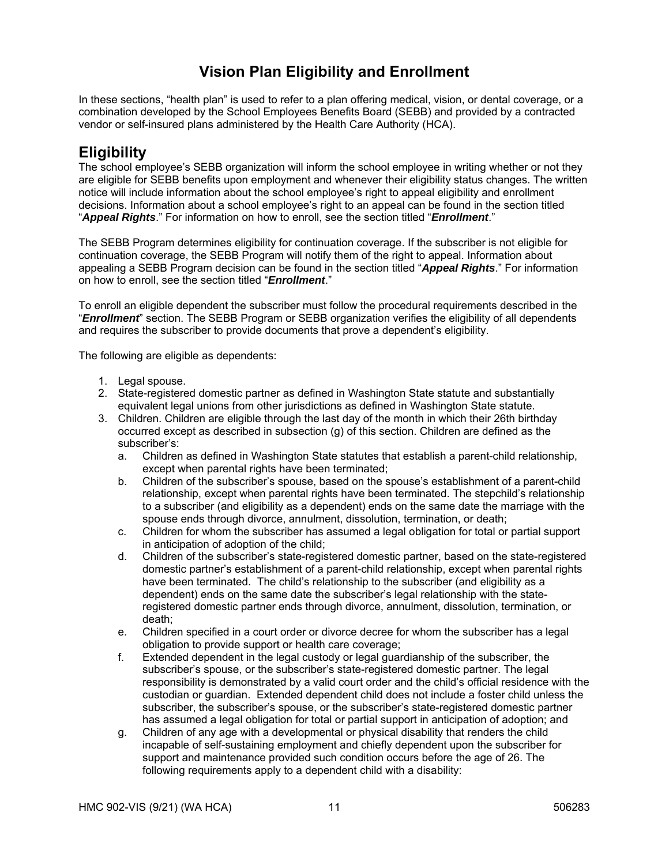# **Vision Plan Eligibility and Enrollment**

In these sections, "health plan" is used to refer to a plan offering medical, vision, or dental coverage, or a combination developed by the School Employees Benefits Board (SEBB) and provided by a contracted vendor or self-insured plans administered by the Health Care Authority (HCA).

# **Eligibility**

The school employee's SEBB organization will inform the school employee in writing whether or not they are eligible for SEBB benefits upon employment and whenever their eligibility status changes. The written notice will include information about the school employee's right to appeal eligibility and enrollment decisions. Information about a school employee's right to an appeal can be found in the section titled "*Appeal Rights*." For information on how to enroll, see the section titled "*Enrollment*."

The SEBB Program determines eligibility for continuation coverage. If the subscriber is not eligible for continuation coverage, the SEBB Program will notify them of the right to appeal. Information about appealing a SEBB Program decision can be found in the section titled "*Appeal Rights*." For information on how to enroll, see the section titled "*Enrollment*."

To enroll an eligible dependent the subscriber must follow the procedural requirements described in the "*Enrollment*" section. The SEBB Program or SEBB organization verifies the eligibility of all dependents and requires the subscriber to provide documents that prove a dependent's eligibility.

The following are eligible as dependents:

- 1. Legal spouse.
- 2. State-registered domestic partner as defined in Washington State statute and substantially equivalent legal unions from other jurisdictions as defined in Washington State statute.
- 3. Children. Children are eligible through the last day of the month in which their 26th birthday occurred except as described in subsection (g) of this section. Children are defined as the subscriber's:
	- a. Children as defined in Washington State statutes that establish a parent-child relationship, except when parental rights have been terminated;
	- b. Children of the subscriber's spouse, based on the spouse's establishment of a parent-child relationship, except when parental rights have been terminated. The stepchild's relationship to a subscriber (and eligibility as a dependent) ends on the same date the marriage with the spouse ends through divorce, annulment, dissolution, termination, or death;
	- c. Children for whom the subscriber has assumed a legal obligation for total or partial support in anticipation of adoption of the child;
	- d. Children of the subscriber's state-registered domestic partner, based on the state-registered domestic partner's establishment of a parent-child relationship, except when parental rights have been terminated. The child's relationship to the subscriber (and eligibility as a dependent) ends on the same date the subscriber's legal relationship with the stateregistered domestic partner ends through divorce, annulment, dissolution, termination, or death;
	- e. Children specified in a court order or divorce decree for whom the subscriber has a legal obligation to provide support or health care coverage;
	- f. Extended dependent in the legal custody or legal guardianship of the subscriber, the subscriber's spouse, or the subscriber's state-registered domestic partner. The legal responsibility is demonstrated by a valid court order and the child's official residence with the custodian or guardian. Extended dependent child does not include a foster child unless the subscriber, the subscriber's spouse, or the subscriber's state-registered domestic partner has assumed a legal obligation for total or partial support in anticipation of adoption; and
	- g. Children of any age with a developmental or physical disability that renders the child incapable of self-sustaining employment and chiefly dependent upon the subscriber for support and maintenance provided such condition occurs before the age of 26. The following requirements apply to a dependent child with a disability: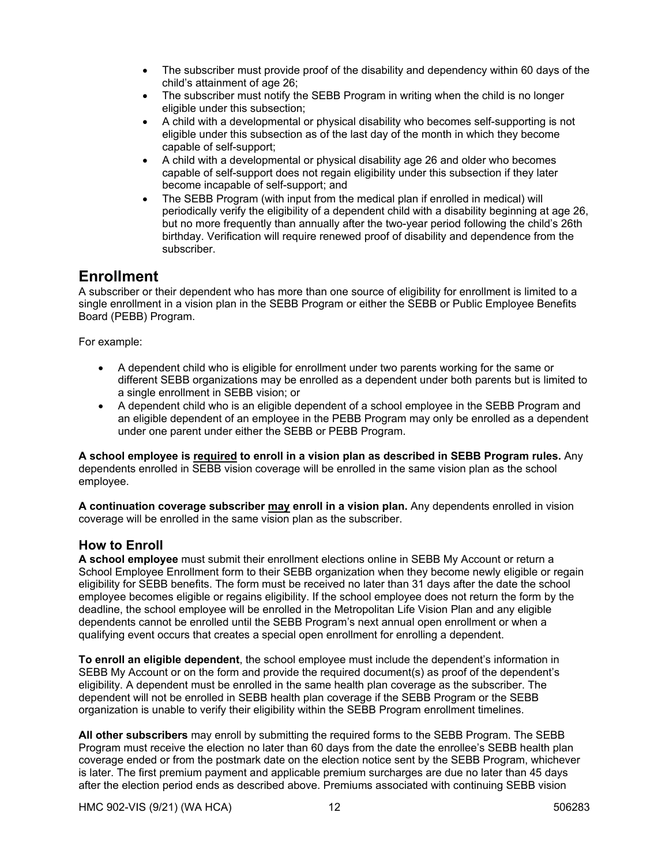- The subscriber must provide proof of the disability and dependency within 60 days of the child's attainment of age 26;
- The subscriber must notify the SEBB Program in writing when the child is no longer eligible under this subsection;
- A child with a developmental or physical disability who becomes self-supporting is not eligible under this subsection as of the last day of the month in which they become capable of self-support;
- A child with a developmental or physical disability age 26 and older who becomes capable of self-support does not regain eligibility under this subsection if they later become incapable of self-support; and
- The SEBB Program (with input from the medical plan if enrolled in medical) will periodically verify the eligibility of a dependent child with a disability beginning at age 26, but no more frequently than annually after the two-year period following the child's 26th birthday. Verification will require renewed proof of disability and dependence from the subscriber.

# **Enrollment**

A subscriber or their dependent who has more than one source of eligibility for enrollment is limited to a single enrollment in a vision plan in the SEBB Program or either the SEBB or Public Employee Benefits Board (PEBB) Program.

For example:

- A dependent child who is eligible for enrollment under two parents working for the same or different SEBB organizations may be enrolled as a dependent under both parents but is limited to a single enrollment in SEBB vision; or
- A dependent child who is an eligible dependent of a school employee in the SEBB Program and an eligible dependent of an employee in the PEBB Program may only be enrolled as a dependent under one parent under either the SEBB or PEBB Program.

**A school employee is required to enroll in a vision plan as described in SEBB Program rules.** Any dependents enrolled in SEBB vision coverage will be enrolled in the same vision plan as the school employee.

**A continuation coverage subscriber may enroll in a vision plan.** Any dependents enrolled in vision coverage will be enrolled in the same vision plan as the subscriber.

# **How to Enroll**

**A school employee** must submit their enrollment elections online in SEBB My Account or return a School Employee Enrollment form to their SEBB organization when they become newly eligible or regain eligibility for SEBB benefits. The form must be received no later than 31 days after the date the school employee becomes eligible or regains eligibility. If the school employee does not return the form by the deadline, the school employee will be enrolled in the Metropolitan Life Vision Plan and any eligible dependents cannot be enrolled until the SEBB Program's next annual open enrollment or when a qualifying event occurs that creates a special open enrollment for enrolling a dependent.

**To enroll an eligible dependent**, the school employee must include the dependent's information in SEBB My Account or on the form and provide the required document(s) as proof of the dependent's eligibility. A dependent must be enrolled in the same health plan coverage as the subscriber. The dependent will not be enrolled in SEBB health plan coverage if the SEBB Program or the SEBB organization is unable to verify their eligibility within the SEBB Program enrollment timelines.

**All other subscribers** may enroll by submitting the required forms to the SEBB Program. The SEBB Program must receive the election no later than 60 days from the date the enrollee's SEBB health plan coverage ended or from the postmark date on the election notice sent by the SEBB Program, whichever is later. The first premium payment and applicable premium surcharges are due no later than 45 days after the election period ends as described above. Premiums associated with continuing SEBB vision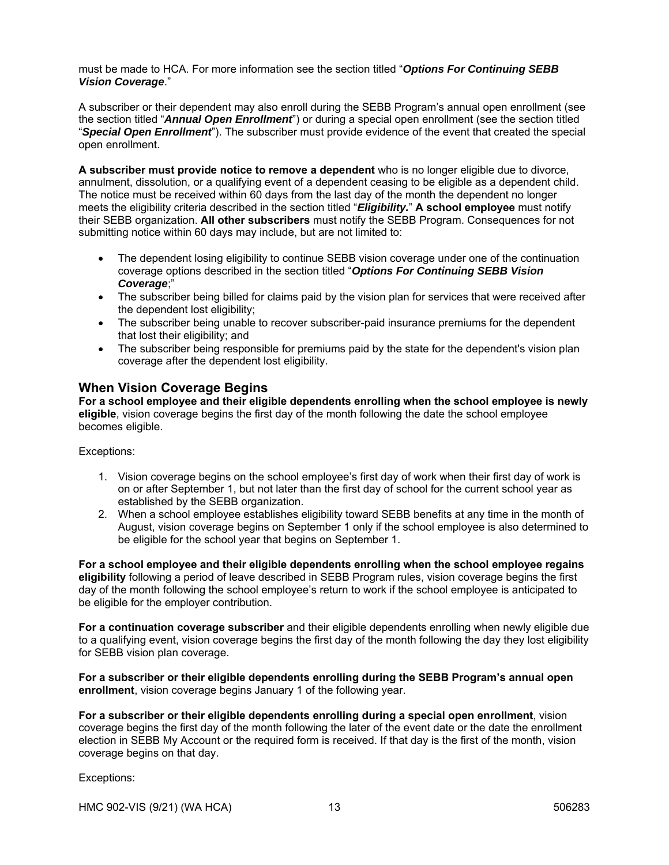must be made to HCA. For more information see the section titled "*Options For Continuing SEBB Vision Coverage*."

A subscriber or their dependent may also enroll during the SEBB Program's annual open enrollment (see the section titled "*Annual Open Enrollment*") or during a special open enrollment (see the section titled "*Special Open Enrollment*"). The subscriber must provide evidence of the event that created the special open enrollment.

**A subscriber must provide notice to remove a dependent** who is no longer eligible due to divorce, annulment, dissolution, or a qualifying event of a dependent ceasing to be eligible as a dependent child. The notice must be received within 60 days from the last day of the month the dependent no longer meets the eligibility criteria described in the section titled "*Eligibility.*" **A school employee** must notify their SEBB organization. **All other subscribers** must notify the SEBB Program. Consequences for not submitting notice within 60 days may include, but are not limited to:

- The dependent losing eligibility to continue SEBB vision coverage under one of the continuation coverage options described in the section titled "*Options For Continuing SEBB Vision Coverage*;"
- The subscriber being billed for claims paid by the vision plan for services that were received after the dependent lost eligibility;
- The subscriber being unable to recover subscriber-paid insurance premiums for the dependent that lost their eligibility; and
- The subscriber being responsible for premiums paid by the state for the dependent's vision plan coverage after the dependent lost eligibility.

# **When Vision Coverage Begins**

**For a school employee and their eligible dependents enrolling when the school employee is newly eligible**, vision coverage begins the first day of the month following the date the school employee becomes eligible.

Exceptions:

- 1. Vision coverage begins on the school employee's first day of work when their first day of work is on or after September 1, but not later than the first day of school for the current school year as established by the SEBB organization.
- 2. When a school employee establishes eligibility toward SEBB benefits at any time in the month of August, vision coverage begins on September 1 only if the school employee is also determined to be eligible for the school year that begins on September 1.

**For a school employee and their eligible dependents enrolling when the school employee regains eligibility** following a period of leave described in SEBB Program rules, vision coverage begins the first day of the month following the school employee's return to work if the school employee is anticipated to be eligible for the employer contribution.

**For a continuation coverage subscriber** and their eligible dependents enrolling when newly eligible due to a qualifying event, vision coverage begins the first day of the month following the day they lost eligibility for SEBB vision plan coverage.

**For a subscriber or their eligible dependents enrolling during the SEBB Program's annual open enrollment**, vision coverage begins January 1 of the following year.

**For a subscriber or their eligible dependents enrolling during a special open enrollment**, vision coverage begins the first day of the month following the later of the event date or the date the enrollment election in SEBB My Account or the required form is received. If that day is the first of the month, vision coverage begins on that day.

Exceptions: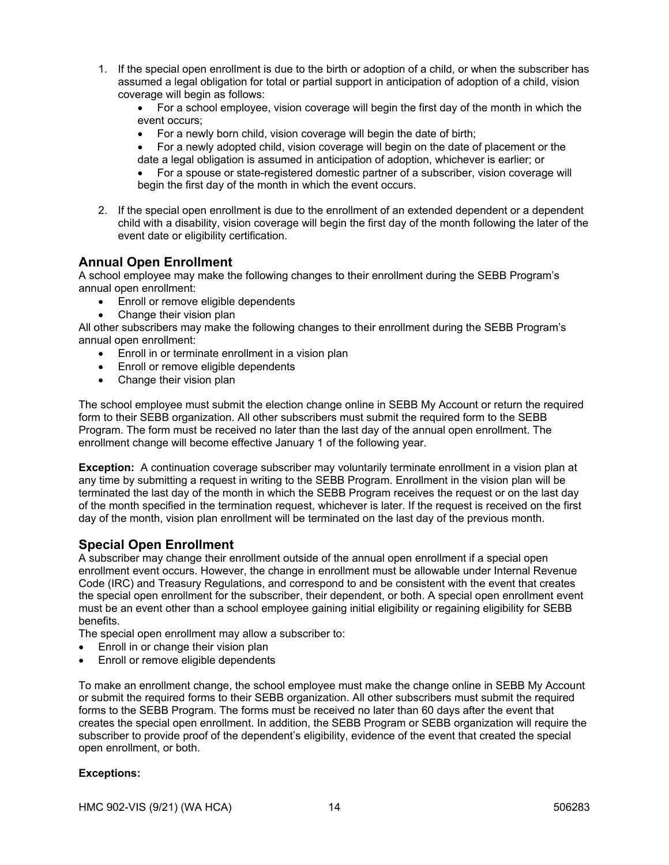1. If the special open enrollment is due to the birth or adoption of a child, or when the subscriber has assumed a legal obligation for total or partial support in anticipation of adoption of a child, vision coverage will begin as follows:

 For a school employee, vision coverage will begin the first day of the month in which the event occurs;

- For a newly born child, vision coverage will begin the date of birth;
- For a newly adopted child, vision coverage will begin on the date of placement or the date a legal obligation is assumed in anticipation of adoption, whichever is earlier; or

 For a spouse or state-registered domestic partner of a subscriber, vision coverage will begin the first day of the month in which the event occurs.

2. If the special open enrollment is due to the enrollment of an extended dependent or a dependent child with a disability, vision coverage will begin the first day of the month following the later of the event date or eligibility certification.

# **Annual Open Enrollment**

A school employee may make the following changes to their enrollment during the SEBB Program's annual open enrollment:

- Enroll or remove eligible dependents
- Change their vision plan

All other subscribers may make the following changes to their enrollment during the SEBB Program's annual open enrollment:

- Enroll in or terminate enrollment in a vision plan
- **Enroll or remove eligible dependents**
- Change their vision plan

The school employee must submit the election change online in SEBB My Account or return the required form to their SEBB organization. All other subscribers must submit the required form to the SEBB Program. The form must be received no later than the last day of the annual open enrollment. The enrollment change will become effective January 1 of the following year.

**Exception:** A continuation coverage subscriber may voluntarily terminate enrollment in a vision plan at any time by submitting a request in writing to the SEBB Program. Enrollment in the vision plan will be terminated the last day of the month in which the SEBB Program receives the request or on the last day of the month specified in the termination request, whichever is later. If the request is received on the first day of the month, vision plan enrollment will be terminated on the last day of the previous month.

# **Special Open Enrollment**

A subscriber may change their enrollment outside of the annual open enrollment if a special open enrollment event occurs. However, the change in enrollment must be allowable under Internal Revenue Code (IRC) and Treasury Regulations, and correspond to and be consistent with the event that creates the special open enrollment for the subscriber, their dependent, or both. A special open enrollment event must be an event other than a school employee gaining initial eligibility or regaining eligibility for SEBB benefits.

The special open enrollment may allow a subscriber to:

- Enroll in or change their vision plan
- Enroll or remove eligible dependents

To make an enrollment change, the school employee must make the change online in SEBB My Account or submit the required forms to their SEBB organization. All other subscribers must submit the required forms to the SEBB Program. The forms must be received no later than 60 days after the event that creates the special open enrollment. In addition, the SEBB Program or SEBB organization will require the subscriber to provide proof of the dependent's eligibility, evidence of the event that created the special open enrollment, or both.

# **Exceptions:**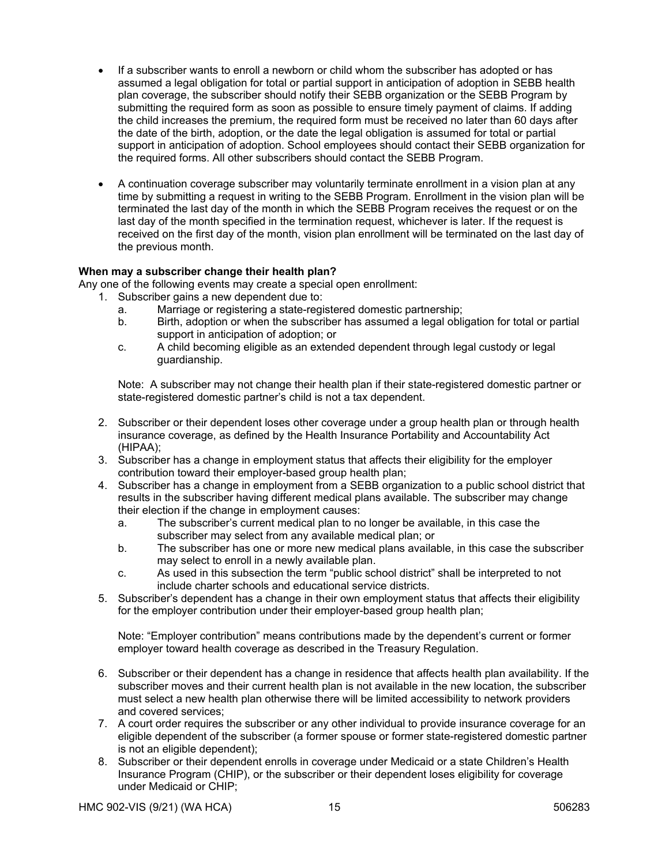- If a subscriber wants to enroll a newborn or child whom the subscriber has adopted or has assumed a legal obligation for total or partial support in anticipation of adoption in SEBB health plan coverage, the subscriber should notify their SEBB organization or the SEBB Program by submitting the required form as soon as possible to ensure timely payment of claims. If adding the child increases the premium, the required form must be received no later than 60 days after the date of the birth, adoption, or the date the legal obligation is assumed for total or partial support in anticipation of adoption. School employees should contact their SEBB organization for the required forms. All other subscribers should contact the SEBB Program.
- A continuation coverage subscriber may voluntarily terminate enrollment in a vision plan at any time by submitting a request in writing to the SEBB Program. Enrollment in the vision plan will be terminated the last day of the month in which the SEBB Program receives the request or on the last day of the month specified in the termination request, whichever is later. If the request is received on the first day of the month, vision plan enrollment will be terminated on the last day of the previous month.

## **When may a subscriber change their health plan?**

Any one of the following events may create a special open enrollment:

- 1. Subscriber gains a new dependent due to:
	- a. Marriage or registering a state-registered domestic partnership;
	- b. Birth, adoption or when the subscriber has assumed a legal obligation for total or partial support in anticipation of adoption; or
	- c. A child becoming eligible as an extended dependent through legal custody or legal guardianship.

Note: A subscriber may not change their health plan if their state-registered domestic partner or state-registered domestic partner's child is not a tax dependent.

- 2. Subscriber or their dependent loses other coverage under a group health plan or through health insurance coverage, as defined by the Health Insurance Portability and Accountability Act (HIPAA);
- 3. Subscriber has a change in employment status that affects their eligibility for the employer contribution toward their employer-based group health plan;
- 4. Subscriber has a change in employment from a SEBB organization to a public school district that results in the subscriber having different medical plans available. The subscriber may change their election if the change in employment causes:
	- a. The subscriber's current medical plan to no longer be available, in this case the subscriber may select from any available medical plan; or
	- b. The subscriber has one or more new medical plans available, in this case the subscriber may select to enroll in a newly available plan.
	- c. As used in this subsection the term "public school district" shall be interpreted to not include charter schools and educational service districts.
- 5. Subscriber's dependent has a change in their own employment status that affects their eligibility for the employer contribution under their employer-based group health plan;

Note: "Employer contribution" means contributions made by the dependent's current or former employer toward health coverage as described in the Treasury Regulation.

- 6. Subscriber or their dependent has a change in residence that affects health plan availability. If the subscriber moves and their current health plan is not available in the new location, the subscriber must select a new health plan otherwise there will be limited accessibility to network providers and covered services;
- 7. A court order requires the subscriber or any other individual to provide insurance coverage for an eligible dependent of the subscriber (a former spouse or former state-registered domestic partner is not an eligible dependent);
- 8. Subscriber or their dependent enrolls in coverage under Medicaid or a state Children's Health Insurance Program (CHIP), or the subscriber or their dependent loses eligibility for coverage under Medicaid or CHIP;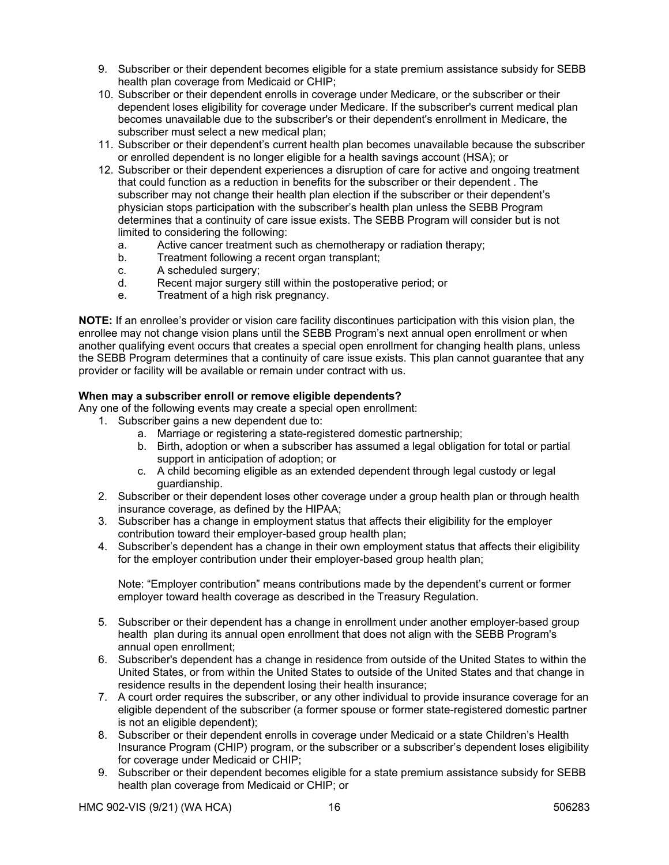- 9. Subscriber or their dependent becomes eligible for a state premium assistance subsidy for SEBB health plan coverage from Medicaid or CHIP;
- 10. Subscriber or their dependent enrolls in coverage under Medicare, or the subscriber or their dependent loses eligibility for coverage under Medicare. If the subscriber's current medical plan becomes unavailable due to the subscriber's or their dependent's enrollment in Medicare, the subscriber must select a new medical plan;
- 11. Subscriber or their dependent's current health plan becomes unavailable because the subscriber or enrolled dependent is no longer eligible for a health savings account (HSA); or
- 12. Subscriber or their dependent experiences a disruption of care for active and ongoing treatment that could function as a reduction in benefits for the subscriber or their dependent . The subscriber may not change their health plan election if the subscriber or their dependent's physician stops participation with the subscriber's health plan unless the SEBB Program determines that a continuity of care issue exists. The SEBB Program will consider but is not limited to considering the following:
	- a. Active cancer treatment such as chemotherapy or radiation therapy;
	- b. Treatment following a recent organ transplant;
	- c. A scheduled surgery;
	- d. Recent major surgery still within the postoperative period; or
	- e. Treatment of a high risk pregnancy.

**NOTE:** If an enrollee's provider or vision care facility discontinues participation with this vision plan, the enrollee may not change vision plans until the SEBB Program's next annual open enrollment or when another qualifying event occurs that creates a special open enrollment for changing health plans, unless the SEBB Program determines that a continuity of care issue exists. This plan cannot guarantee that any provider or facility will be available or remain under contract with us.

# **When may a subscriber enroll or remove eligible dependents?**

Any one of the following events may create a special open enrollment:

- 1. Subscriber gains a new dependent due to:
	- a. Marriage or registering a state-registered domestic partnership;
	- b. Birth, adoption or when a subscriber has assumed a legal obligation for total or partial support in anticipation of adoption; or
	- c. A child becoming eligible as an extended dependent through legal custody or legal guardianship.
- 2. Subscriber or their dependent loses other coverage under a group health plan or through health insurance coverage, as defined by the HIPAA;
- 3. Subscriber has a change in employment status that affects their eligibility for the employer contribution toward their employer-based group health plan;
- 4. Subscriber's dependent has a change in their own employment status that affects their eligibility for the employer contribution under their employer-based group health plan;

Note: "Employer contribution" means contributions made by the dependent's current or former employer toward health coverage as described in the Treasury Regulation.

- 5. Subscriber or their dependent has a change in enrollment under another employer-based group health plan during its annual open enrollment that does not align with the SEBB Program's annual open enrollment;
- 6. Subscriber's dependent has a change in residence from outside of the United States to within the United States, or from within the United States to outside of the United States and that change in residence results in the dependent losing their health insurance;
- 7. A court order requires the subscriber, or any other individual to provide insurance coverage for an eligible dependent of the subscriber (a former spouse or former state-registered domestic partner is not an eligible dependent);
- 8. Subscriber or their dependent enrolls in coverage under Medicaid or a state Children's Health Insurance Program (CHIP) program, or the subscriber or a subscriber's dependent loses eligibility for coverage under Medicaid or CHIP;
- 9. Subscriber or their dependent becomes eligible for a state premium assistance subsidy for SEBB health plan coverage from Medicaid or CHIP; or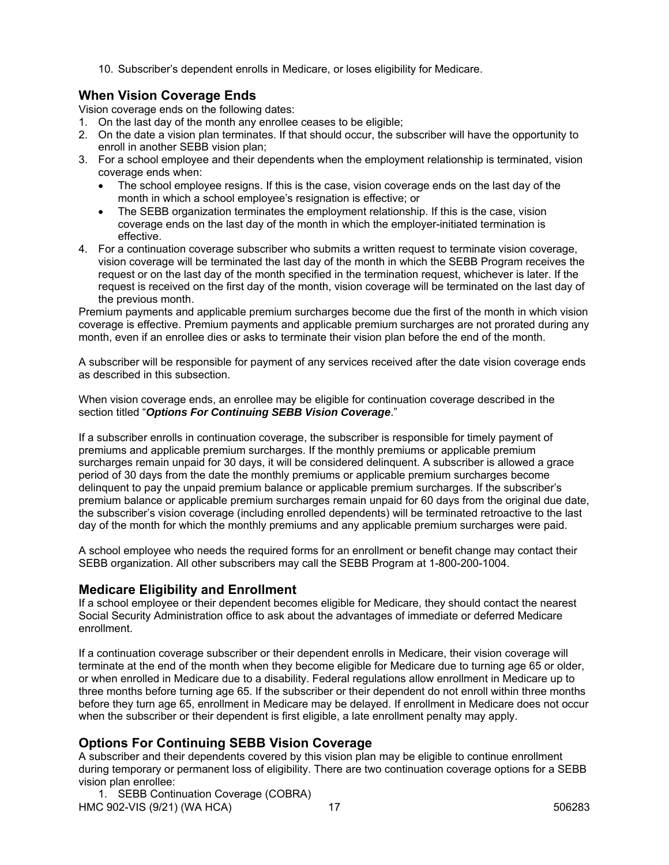10. Subscriber's dependent enrolls in Medicare, or loses eligibility for Medicare.

# **When Vision Coverage Ends**

Vision coverage ends on the following dates:

- 1. On the last day of the month any enrollee ceases to be eligible;
- 2. On the date a vision plan terminates. If that should occur, the subscriber will have the opportunity to enroll in another SEBB vision plan;
- 3. For a school employee and their dependents when the employment relationship is terminated, vision coverage ends when:
	- The school employee resigns. If this is the case, vision coverage ends on the last day of the month in which a school employee's resignation is effective; or
	- The SEBB organization terminates the employment relationship. If this is the case, vision coverage ends on the last day of the month in which the employer-initiated termination is effective.
- 4. For a continuation coverage subscriber who submits a written request to terminate vision coverage, vision coverage will be terminated the last day of the month in which the SEBB Program receives the request or on the last day of the month specified in the termination request, whichever is later. If the request is received on the first day of the month, vision coverage will be terminated on the last day of the previous month.

Premium payments and applicable premium surcharges become due the first of the month in which vision coverage is effective. Premium payments and applicable premium surcharges are not prorated during any month, even if an enrollee dies or asks to terminate their vision plan before the end of the month.

A subscriber will be responsible for payment of any services received after the date vision coverage ends as described in this subsection.

When vision coverage ends, an enrollee may be eligible for continuation coverage described in the section titled "*Options For Continuing SEBB Vision Coverage*."

If a subscriber enrolls in continuation coverage, the subscriber is responsible for timely payment of premiums and applicable premium surcharges. If the monthly premiums or applicable premium surcharges remain unpaid for 30 days, it will be considered delinquent. A subscriber is allowed a grace period of 30 days from the date the monthly premiums or applicable premium surcharges become delinquent to pay the unpaid premium balance or applicable premium surcharges. If the subscriber's premium balance or applicable premium surcharges remain unpaid for 60 days from the original due date, the subscriber's vision coverage (including enrolled dependents) will be terminated retroactive to the last day of the month for which the monthly premiums and any applicable premium surcharges were paid.

A school employee who needs the required forms for an enrollment or benefit change may contact their SEBB organization. All other subscribers may call the SEBB Program at 1-800-200-1004.

# **Medicare Eligibility and Enrollment**

If a school employee or their dependent becomes eligible for Medicare, they should contact the nearest Social Security Administration office to ask about the advantages of immediate or deferred Medicare enrollment.

If a continuation coverage subscriber or their dependent enrolls in Medicare, their vision coverage will terminate at the end of the month when they become eligible for Medicare due to turning age 65 or older, or when enrolled in Medicare due to a disability. Federal regulations allow enrollment in Medicare up to three months before turning age 65. If the subscriber or their dependent do not enroll within three months before they turn age 65, enrollment in Medicare may be delayed. If enrollment in Medicare does not occur when the subscriber or their dependent is first eligible, a late enrollment penalty may apply.

# **Options For Continuing SEBB Vision Coverage**

A subscriber and their dependents covered by this vision plan may be eligible to continue enrollment during temporary or permanent loss of eligibility. There are two continuation coverage options for a SEBB vision plan enrollee:

HMC 902-VIS (9/21) (WA HCA) 17 12 12 12 12 12 13 14 1506283 1. SEBB Continuation Coverage (COBRA)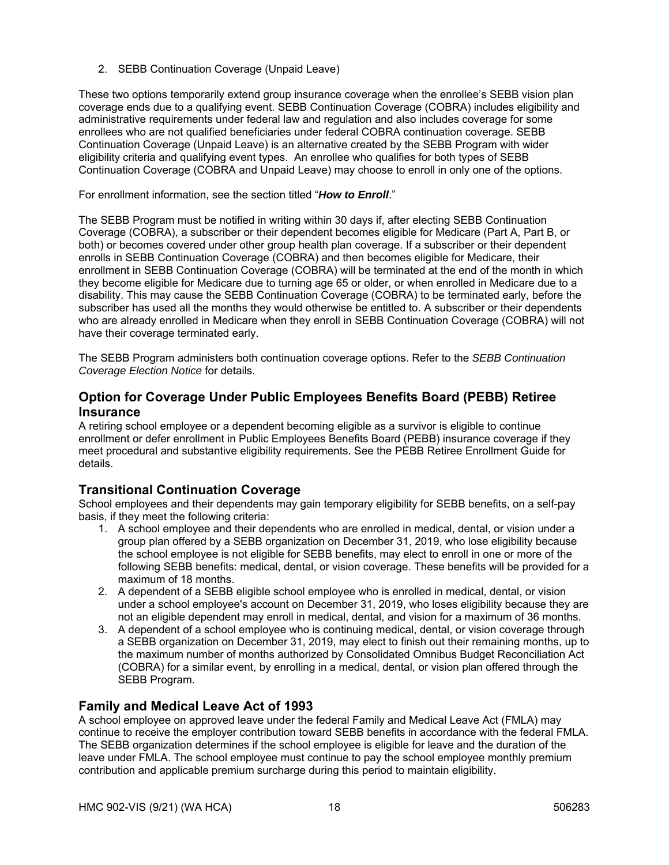2. SEBB Continuation Coverage (Unpaid Leave)

These two options temporarily extend group insurance coverage when the enrollee's SEBB vision plan coverage ends due to a qualifying event. SEBB Continuation Coverage (COBRA) includes eligibility and administrative requirements under federal law and regulation and also includes coverage for some enrollees who are not qualified beneficiaries under federal COBRA continuation coverage. SEBB Continuation Coverage (Unpaid Leave) is an alternative created by the SEBB Program with wider eligibility criteria and qualifying event types. An enrollee who qualifies for both types of SEBB Continuation Coverage (COBRA and Unpaid Leave) may choose to enroll in only one of the options.

For enrollment information, see the section titled "*How to Enroll*."

The SEBB Program must be notified in writing within 30 days if, after electing SEBB Continuation Coverage (COBRA), a subscriber or their dependent becomes eligible for Medicare (Part A, Part B, or both) or becomes covered under other group health plan coverage. If a subscriber or their dependent enrolls in SEBB Continuation Coverage (COBRA) and then becomes eligible for Medicare, their enrollment in SEBB Continuation Coverage (COBRA) will be terminated at the end of the month in which they become eligible for Medicare due to turning age 65 or older, or when enrolled in Medicare due to a disability. This may cause the SEBB Continuation Coverage (COBRA) to be terminated early, before the subscriber has used all the months they would otherwise be entitled to. A subscriber or their dependents who are already enrolled in Medicare when they enroll in SEBB Continuation Coverage (COBRA) will not have their coverage terminated early.

The SEBB Program administers both continuation coverage options. Refer to the *SEBB Continuation Coverage Election Notice* for details.

# **Option for Coverage Under Public Employees Benefits Board (PEBB) Retiree Insurance**

A retiring school employee or a dependent becoming eligible as a survivor is eligible to continue enrollment or defer enrollment in Public Employees Benefits Board (PEBB) insurance coverage if they meet procedural and substantive eligibility requirements. See the PEBB Retiree Enrollment Guide for details.

# **Transitional Continuation Coverage**

School employees and their dependents may gain temporary eligibility for SEBB benefits, on a self-pay basis, if they meet the following criteria:

- 1. A school employee and their dependents who are enrolled in medical, dental, or vision under a group plan offered by a SEBB organization on December 31, 2019, who lose eligibility because the school employee is not eligible for SEBB benefits, may elect to enroll in one or more of the following SEBB benefits: medical, dental, or vision coverage. These benefits will be provided for a maximum of 18 months.
- 2. A dependent of a SEBB eligible school employee who is enrolled in medical, dental, or vision under a school employee's account on December 31, 2019, who loses eligibility because they are not an eligible dependent may enroll in medical, dental, and vision for a maximum of 36 months.
- 3. A dependent of a school employee who is continuing medical, dental, or vision coverage through a SEBB organization on December 31, 2019, may elect to finish out their remaining months, up to the maximum number of months authorized by Consolidated Omnibus Budget Reconciliation Act (COBRA) for a similar event, by enrolling in a medical, dental, or vision plan offered through the SEBB Program.

# **Family and Medical Leave Act of 1993**

A school employee on approved leave under the federal Family and Medical Leave Act (FMLA) may continue to receive the employer contribution toward SEBB benefits in accordance with the federal FMLA. The SEBB organization determines if the school employee is eligible for leave and the duration of the leave under FMLA. The school employee must continue to pay the school employee monthly premium contribution and applicable premium surcharge during this period to maintain eligibility.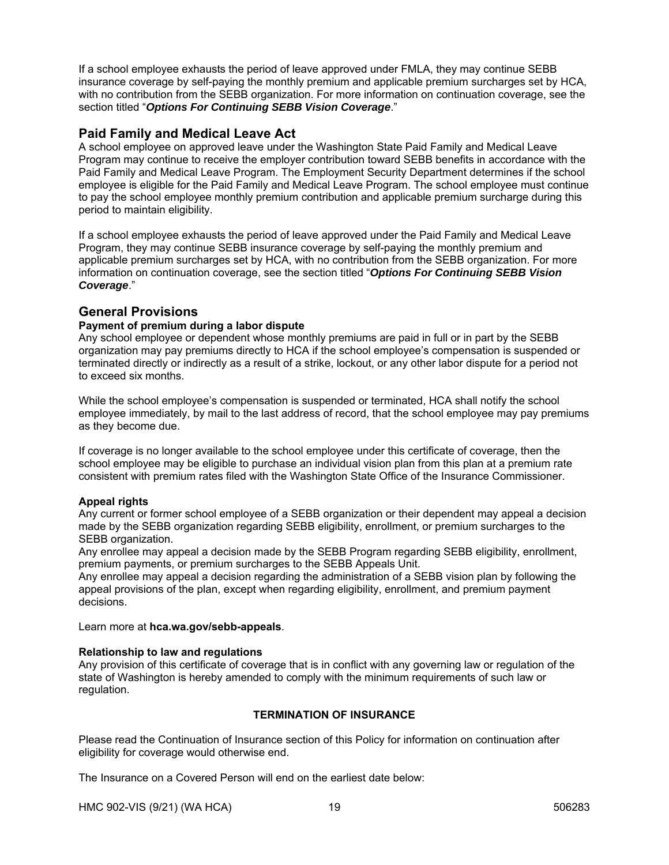If a school employee exhausts the period of leave approved under FMLA, they may continue SEBB insurance coverage by self-paying the monthly premium and applicable premium surcharges set by HCA, with no contribution from the SEBB organization. For more information on continuation coverage, see the section titled "*Options For Continuing SEBB Vision Coverage*."

# **Paid Family and Medical Leave Act**

A school employee on approved leave under the Washington State Paid Family and Medical Leave Program may continue to receive the employer contribution toward SEBB benefits in accordance with the Paid Family and Medical Leave Program. The Employment Security Department determines if the school employee is eligible for the Paid Family and Medical Leave Program. The school employee must continue to pay the school employee monthly premium contribution and applicable premium surcharge during this period to maintain eligibility.

If a school employee exhausts the period of leave approved under the Paid Family and Medical Leave Program, they may continue SEBB insurance coverage by self-paying the monthly premium and applicable premium surcharges set by HCA, with no contribution from the SEBB organization. For more information on continuation coverage, see the section titled "*Options For Continuing SEBB Vision Coverage*."

# **General Provisions**

# **Payment of premium during a labor dispute**

Any school employee or dependent whose monthly premiums are paid in full or in part by the SEBB organization may pay premiums directly to HCA if the school employee's compensation is suspended or terminated directly or indirectly as a result of a strike, lockout, or any other labor dispute for a period not to exceed six months.

While the school employee's compensation is suspended or terminated, HCA shall notify the school employee immediately, by mail to the last address of record, that the school employee may pay premiums as they become due.

If coverage is no longer available to the school employee under this certificate of coverage, then the school employee may be eligible to purchase an individual vision plan from this plan at a premium rate consistent with premium rates filed with the Washington State Office of the Insurance Commissioner.

### **Appeal rights**

Any current or former school employee of a SEBB organization or their dependent may appeal a decision made by the SEBB organization regarding SEBB eligibility, enrollment, or premium surcharges to the SEBB organization.

Any enrollee may appeal a decision made by the SEBB Program regarding SEBB eligibility, enrollment, premium payments, or premium surcharges to the SEBB Appeals Unit.

Any enrollee may appeal a decision regarding the administration of a SEBB vision plan by following the appeal provisions of the plan, except when regarding eligibility, enrollment, and premium payment decisions.

Learn more at **hca.wa.gov/sebb-appeals**.

# **Relationship to law and regulations**

Any provision of this certificate of coverage that is in conflict with any governing law or regulation of the state of Washington is hereby amended to comply with the minimum requirements of such law or regulation.

# **TERMINATION OF INSURANCE**

Please read the Continuation of Insurance section of this Policy for information on continuation after eligibility for coverage would otherwise end.

The Insurance on a Covered Person will end on the earliest date below:

HMC 902-VIS (9/21) (WA HCA) 19 506283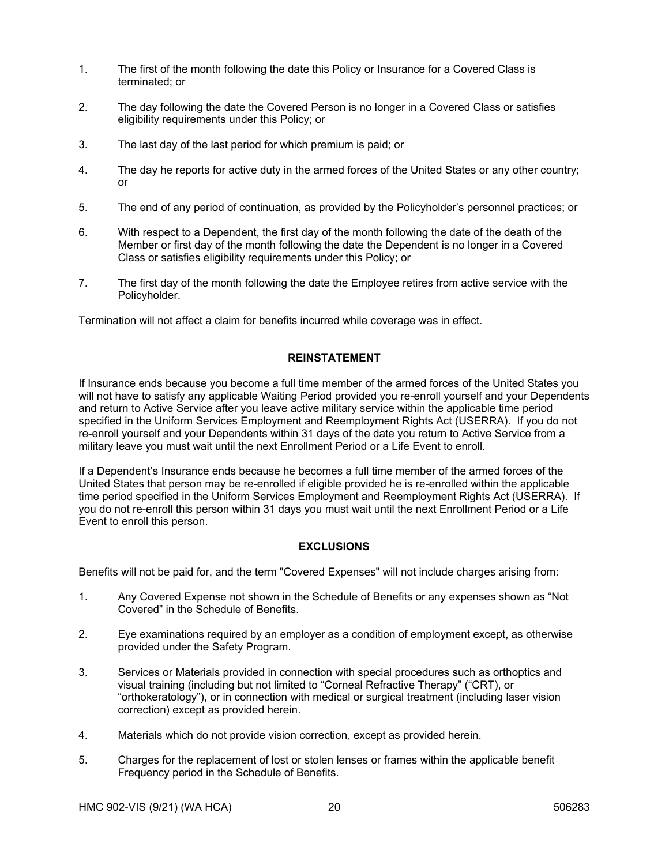- 1. The first of the month following the date this Policy or Insurance for a Covered Class is terminated; or
- 2. The day following the date the Covered Person is no longer in a Covered Class or satisfies eligibility requirements under this Policy; or
- 3. The last day of the last period for which premium is paid; or
- 4. The day he reports for active duty in the armed forces of the United States or any other country; or
- 5. The end of any period of continuation, as provided by the Policyholder's personnel practices; or
- 6. With respect to a Dependent, the first day of the month following the date of the death of the Member or first day of the month following the date the Dependent is no longer in a Covered Class or satisfies eligibility requirements under this Policy; or
- 7. The first day of the month following the date the Employee retires from active service with the Policyholder.

Termination will not affect a claim for benefits incurred while coverage was in effect.

## **REINSTATEMENT**

If Insurance ends because you become a full time member of the armed forces of the United States you will not have to satisfy any applicable Waiting Period provided you re-enroll yourself and your Dependents and return to Active Service after you leave active military service within the applicable time period specified in the Uniform Services Employment and Reemployment Rights Act (USERRA). If you do not re-enroll yourself and your Dependents within 31 days of the date you return to Active Service from a military leave you must wait until the next Enrollment Period or a Life Event to enroll.

If a Dependent's Insurance ends because he becomes a full time member of the armed forces of the United States that person may be re-enrolled if eligible provided he is re-enrolled within the applicable time period specified in the Uniform Services Employment and Reemployment Rights Act (USERRA). If you do not re-enroll this person within 31 days you must wait until the next Enrollment Period or a Life Event to enroll this person.

# **EXCLUSIONS**

Benefits will not be paid for, and the term "Covered Expenses" will not include charges arising from:

- 1. Any Covered Expense not shown in the Schedule of Benefits or any expenses shown as "Not Covered" in the Schedule of Benefits.
- 2. Eye examinations required by an employer as a condition of employment except, as otherwise provided under the Safety Program.
- 3. Services or Materials provided in connection with special procedures such as orthoptics and visual training (including but not limited to "Corneal Refractive Therapy" ("CRT), or "orthokeratology"), or in connection with medical or surgical treatment (including laser vision correction) except as provided herein.
- 4. Materials which do not provide vision correction, except as provided herein.
- 5. Charges for the replacement of lost or stolen lenses or frames within the applicable benefit Frequency period in the Schedule of Benefits.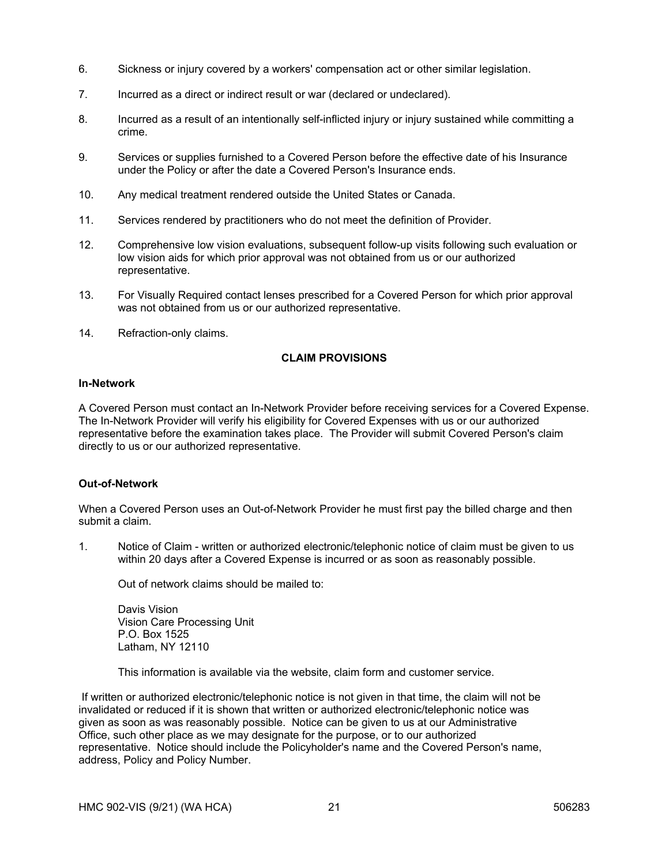- 6. Sickness or injury covered by a workers' compensation act or other similar legislation.
- 7. Incurred as a direct or indirect result or war (declared or undeclared).
- 8. Incurred as a result of an intentionally self-inflicted injury or injury sustained while committing a crime.
- 9. Services or supplies furnished to a Covered Person before the effective date of his Insurance under the Policy or after the date a Covered Person's Insurance ends.
- 10. Any medical treatment rendered outside the United States or Canada.
- 11. Services rendered by practitioners who do not meet the definition of Provider.
- 12. Comprehensive low vision evaluations, subsequent follow-up visits following such evaluation or low vision aids for which prior approval was not obtained from us or our authorized representative.
- 13. For Visually Required contact lenses prescribed for a Covered Person for which prior approval was not obtained from us or our authorized representative.
- 14. Refraction-only claims.

## **CLAIM PROVISIONS**

#### **In-Network**

A Covered Person must contact an In-Network Provider before receiving services for a Covered Expense. The In-Network Provider will verify his eligibility for Covered Expenses with us or our authorized representative before the examination takes place. The Provider will submit Covered Person's claim directly to us or our authorized representative.

### **Out-of-Network**

When a Covered Person uses an Out-of-Network Provider he must first pay the billed charge and then submit a claim.

1. Notice of Claim - written or authorized electronic/telephonic notice of claim must be given to us within 20 days after a Covered Expense is incurred or as soon as reasonably possible.

Out of network claims should be mailed to:

Davis Vision Vision Care Processing Unit P.O. Box 1525 Latham, NY 12110

This information is available via the website, claim form and customer service.

 If written or authorized electronic/telephonic notice is not given in that time, the claim will not be invalidated or reduced if it is shown that written or authorized electronic/telephonic notice was given as soon as was reasonably possible. Notice can be given to us at our Administrative Office, such other place as we may designate for the purpose, or to our authorized representative. Notice should include the Policyholder's name and the Covered Person's name, address, Policy and Policy Number.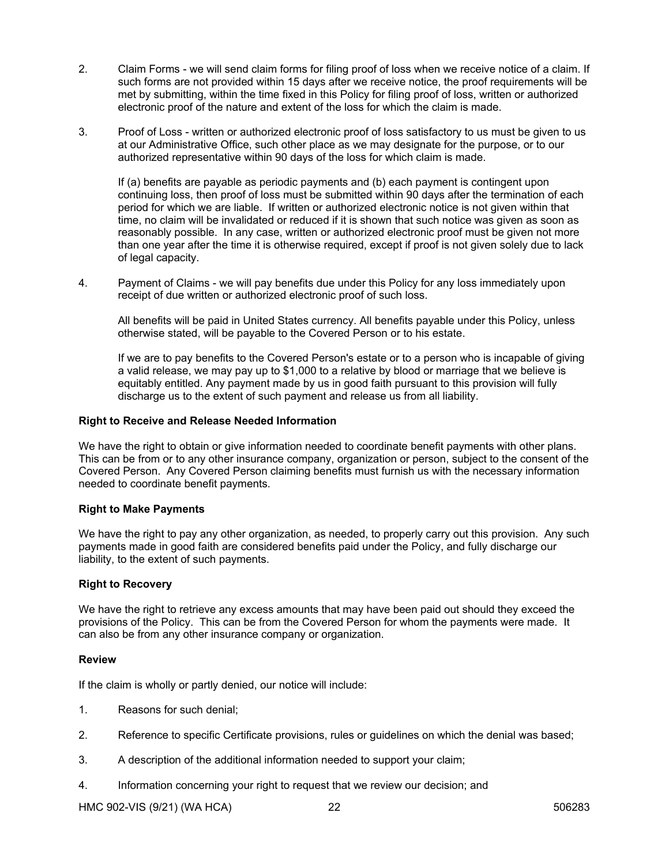- 2. Claim Forms we will send claim forms for filing proof of loss when we receive notice of a claim. If such forms are not provided within 15 days after we receive notice, the proof requirements will be met by submitting, within the time fixed in this Policy for filing proof of loss, written or authorized electronic proof of the nature and extent of the loss for which the claim is made.
- 3. Proof of Loss written or authorized electronic proof of loss satisfactory to us must be given to us at our Administrative Office, such other place as we may designate for the purpose, or to our authorized representative within 90 days of the loss for which claim is made.

If (a) benefits are payable as periodic payments and (b) each payment is contingent upon continuing loss, then proof of loss must be submitted within 90 days after the termination of each period for which we are liable. If written or authorized electronic notice is not given within that time, no claim will be invalidated or reduced if it is shown that such notice was given as soon as reasonably possible. In any case, written or authorized electronic proof must be given not more than one year after the time it is otherwise required, except if proof is not given solely due to lack of legal capacity.

4. Payment of Claims - we will pay benefits due under this Policy for any loss immediately upon receipt of due written or authorized electronic proof of such loss.

All benefits will be paid in United States currency. All benefits payable under this Policy, unless otherwise stated, will be payable to the Covered Person or to his estate.

If we are to pay benefits to the Covered Person's estate or to a person who is incapable of giving a valid release, we may pay up to \$1,000 to a relative by blood or marriage that we believe is equitably entitled. Any payment made by us in good faith pursuant to this provision will fully discharge us to the extent of such payment and release us from all liability.

## **Right to Receive and Release Needed Information**

We have the right to obtain or give information needed to coordinate benefit payments with other plans. This can be from or to any other insurance company, organization or person, subject to the consent of the Covered Person. Any Covered Person claiming benefits must furnish us with the necessary information needed to coordinate benefit payments.

### **Right to Make Payments**

We have the right to pay any other organization, as needed, to properly carry out this provision. Any such payments made in good faith are considered benefits paid under the Policy, and fully discharge our liability, to the extent of such payments.

### **Right to Recovery**

We have the right to retrieve any excess amounts that may have been paid out should they exceed the provisions of the Policy. This can be from the Covered Person for whom the payments were made. It can also be from any other insurance company or organization.

### **Review**

If the claim is wholly or partly denied, our notice will include:

- 1. Reasons for such denial;
- 2. Reference to specific Certificate provisions, rules or guidelines on which the denial was based;
- 3. A description of the additional information needed to support your claim;
- 4. Information concerning your right to request that we review our decision; and

HMC 902-VIS (9/21) (WA HCA) 22 506283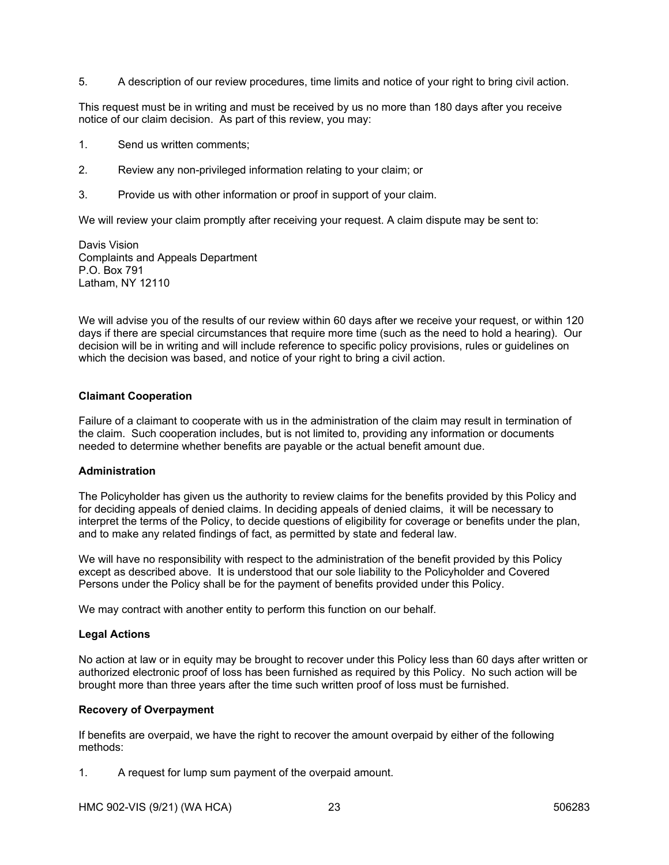5. A description of our review procedures, time limits and notice of your right to bring civil action.

This request must be in writing and must be received by us no more than 180 days after you receive notice of our claim decision. As part of this review, you may:

- 1. Send us written comments;
- 2. Review any non-privileged information relating to your claim; or
- 3. Provide us with other information or proof in support of your claim.

We will review your claim promptly after receiving your request. A claim dispute may be sent to:

Davis Vision Complaints and Appeals Department P.O. Box 791 Latham, NY 12110

We will advise you of the results of our review within 60 days after we receive your request, or within 120 days if there are special circumstances that require more time (such as the need to hold a hearing). Our decision will be in writing and will include reference to specific policy provisions, rules or guidelines on which the decision was based, and notice of your right to bring a civil action.

# **Claimant Cooperation**

Failure of a claimant to cooperate with us in the administration of the claim may result in termination of the claim. Such cooperation includes, but is not limited to, providing any information or documents needed to determine whether benefits are payable or the actual benefit amount due.

### **Administration**

The Policyholder has given us the authority to review claims for the benefits provided by this Policy and for deciding appeals of denied claims. In deciding appeals of denied claims, it will be necessary to interpret the terms of the Policy, to decide questions of eligibility for coverage or benefits under the plan, and to make any related findings of fact, as permitted by state and federal law.

We will have no responsibility with respect to the administration of the benefit provided by this Policy except as described above. It is understood that our sole liability to the Policyholder and Covered Persons under the Policy shall be for the payment of benefits provided under this Policy.

We may contract with another entity to perform this function on our behalf.

### **Legal Actions**

No action at law or in equity may be brought to recover under this Policy less than 60 days after written or authorized electronic proof of loss has been furnished as required by this Policy. No such action will be brought more than three years after the time such written proof of loss must be furnished.

### **Recovery of Overpayment**

If benefits are overpaid, we have the right to recover the amount overpaid by either of the following methods:

1. A request for lump sum payment of the overpaid amount.

HMC 902-VIS (9/21) (WA HCA) 23 506283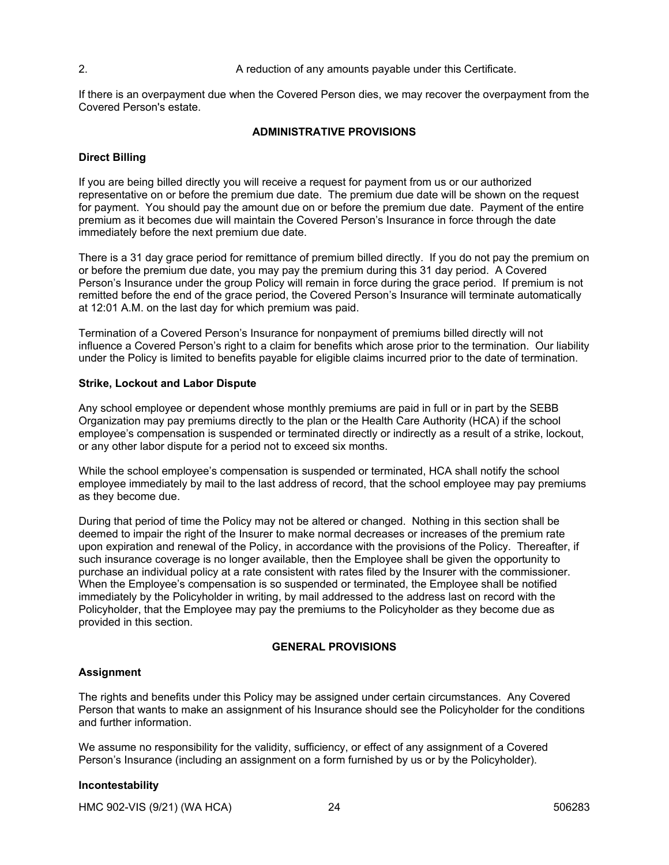### 2. A reduction of any amounts payable under this Certificate.

If there is an overpayment due when the Covered Person dies, we may recover the overpayment from the Covered Person's estate.

### **ADMINISTRATIVE PROVISIONS**

## **Direct Billing**

If you are being billed directly you will receive a request for payment from us or our authorized representative on or before the premium due date. The premium due date will be shown on the request for payment. You should pay the amount due on or before the premium due date. Payment of the entire premium as it becomes due will maintain the Covered Person's Insurance in force through the date immediately before the next premium due date.

There is a 31 day grace period for remittance of premium billed directly. If you do not pay the premium on or before the premium due date, you may pay the premium during this 31 day period. A Covered Person's Insurance under the group Policy will remain in force during the grace period. If premium is not remitted before the end of the grace period, the Covered Person's Insurance will terminate automatically at 12:01 A.M. on the last day for which premium was paid.

Termination of a Covered Person's Insurance for nonpayment of premiums billed directly will not influence a Covered Person's right to a claim for benefits which arose prior to the termination. Our liability under the Policy is limited to benefits payable for eligible claims incurred prior to the date of termination.

### **Strike, Lockout and Labor Dispute**

Any school employee or dependent whose monthly premiums are paid in full or in part by the SEBB Organization may pay premiums directly to the plan or the Health Care Authority (HCA) if the school employee's compensation is suspended or terminated directly or indirectly as a result of a strike, lockout, or any other labor dispute for a period not to exceed six months.

While the school employee's compensation is suspended or terminated, HCA shall notify the school employee immediately by mail to the last address of record, that the school employee may pay premiums as they become due.

During that period of time the Policy may not be altered or changed. Nothing in this section shall be deemed to impair the right of the Insurer to make normal decreases or increases of the premium rate upon expiration and renewal of the Policy, in accordance with the provisions of the Policy. Thereafter, if such insurance coverage is no longer available, then the Employee shall be given the opportunity to purchase an individual policy at a rate consistent with rates filed by the Insurer with the commissioner. When the Employee's compensation is so suspended or terminated, the Employee shall be notified immediately by the Policyholder in writing, by mail addressed to the address last on record with the Policyholder, that the Employee may pay the premiums to the Policyholder as they become due as provided in this section.

### **GENERAL PROVISIONS**

### **Assignment**

The rights and benefits under this Policy may be assigned under certain circumstances. Any Covered Person that wants to make an assignment of his Insurance should see the Policyholder for the conditions and further information.

We assume no responsibility for the validity, sufficiency, or effect of any assignment of a Covered Person's Insurance (including an assignment on a form furnished by us or by the Policyholder).

### **Incontestability**

HMC 902-VIS (9/21) (WA HCA) 24 24 506283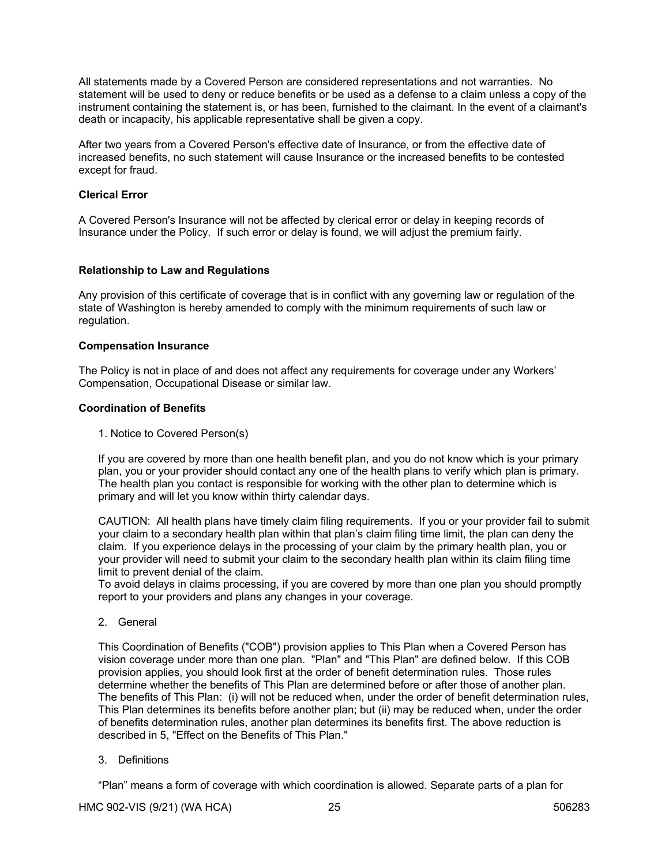All statements made by a Covered Person are considered representations and not warranties. No statement will be used to deny or reduce benefits or be used as a defense to a claim unless a copy of the instrument containing the statement is, or has been, furnished to the claimant. In the event of a claimant's death or incapacity, his applicable representative shall be given a copy.

After two years from a Covered Person's effective date of Insurance, or from the effective date of increased benefits, no such statement will cause Insurance or the increased benefits to be contested except for fraud.

### **Clerical Error**

A Covered Person's Insurance will not be affected by clerical error or delay in keeping records of Insurance under the Policy. If such error or delay is found, we will adjust the premium fairly.

## **Relationship to Law and Regulations**

Any provision of this certificate of coverage that is in conflict with any governing law or regulation of the state of Washington is hereby amended to comply with the minimum requirements of such law or regulation.

### **Compensation Insurance**

The Policy is not in place of and does not affect any requirements for coverage under any Workers' Compensation, Occupational Disease or similar law.

## **Coordination of Benefits**

1. Notice to Covered Person(s)

If you are covered by more than one health benefit plan, and you do not know which is your primary plan, you or your provider should contact any one of the health plans to verify which plan is primary. The health plan you contact is responsible for working with the other plan to determine which is primary and will let you know within thirty calendar days.

CAUTION: All health plans have timely claim filing requirements. If you or your provider fail to submit your claim to a secondary health plan within that plan's claim filing time limit, the plan can deny the claim. If you experience delays in the processing of your claim by the primary health plan, you or your provider will need to submit your claim to the secondary health plan within its claim filing time limit to prevent denial of the claim.

To avoid delays in claims processing, if you are covered by more than one plan you should promptly report to your providers and plans any changes in your coverage.

2. General

This Coordination of Benefits ("COB") provision applies to This Plan when a Covered Person has vision coverage under more than one plan. "Plan" and "This Plan" are defined below. If this COB provision applies, you should look first at the order of benefit determination rules. Those rules determine whether the benefits of This Plan are determined before or after those of another plan. The benefits of This Plan: (i) will not be reduced when, under the order of benefit determination rules, This Plan determines its benefits before another plan; but (ii) may be reduced when, under the order of benefits determination rules, another plan determines its benefits first. The above reduction is described in 5, "Effect on the Benefits of This Plan."

3. Definitions

"Plan" means a form of coverage with which coordination is allowed. Separate parts of a plan for

HMC 902-VIS (9/21) (WA HCA) 25 25 506283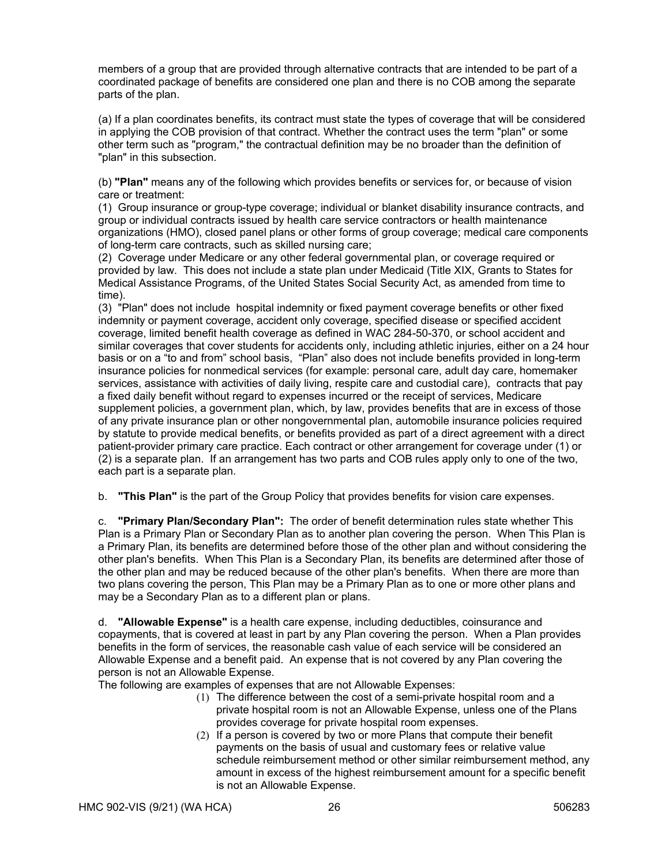members of a group that are provided through alternative contracts that are intended to be part of a coordinated package of benefits are considered one plan and there is no COB among the separate parts of the plan.

(a) If a plan coordinates benefits, its contract must state the types of coverage that will be considered in applying the COB provision of that contract. Whether the contract uses the term "plan" or some other term such as "program," the contractual definition may be no broader than the definition of "plan" in this subsection.

(b) **"Plan"** means any of the following which provides benefits or services for, or because of vision care or treatment:

(1) Group insurance or group-type coverage; individual or blanket disability insurance contracts, and group or individual contracts issued by health care service contractors or health maintenance organizations (HMO), closed panel plans or other forms of group coverage; medical care components of long-term care contracts, such as skilled nursing care;

(2) Coverage under Medicare or any other federal governmental plan, or coverage required or provided by law. This does not include a state plan under Medicaid (Title XIX, Grants to States for Medical Assistance Programs, of the United States Social Security Act, as amended from time to time).

(3) "Plan" does not include hospital indemnity or fixed payment coverage benefits or other fixed indemnity or payment coverage, accident only coverage, specified disease or specified accident coverage, limited benefit health coverage as defined in WAC 284-50-370, or school accident and similar coverages that cover students for accidents only, including athletic injuries, either on a 24 hour basis or on a "to and from" school basis, "Plan" also does not include benefits provided in long-term insurance policies for nonmedical services (for example: personal care, adult day care, homemaker services, assistance with activities of daily living, respite care and custodial care), contracts that pay a fixed daily benefit without regard to expenses incurred or the receipt of services, Medicare supplement policies, a government plan, which, by law, provides benefits that are in excess of those of any private insurance plan or other nongovernmental plan, automobile insurance policies required by statute to provide medical benefits, or benefits provided as part of a direct agreement with a direct patient-provider primary care practice. Each contract or other arrangement for coverage under (1) or (2) is a separate plan. If an arrangement has two parts and COB rules apply only to one of the two, each part is a separate plan.

b. **"This Plan"** is the part of the Group Policy that provides benefits for vision care expenses.

c. **"Primary Plan/Secondary Plan":** The order of benefit determination rules state whether This Plan is a Primary Plan or Secondary Plan as to another plan covering the person. When This Plan is a Primary Plan, its benefits are determined before those of the other plan and without considering the other plan's benefits. When This Plan is a Secondary Plan, its benefits are determined after those of the other plan and may be reduced because of the other plan's benefits. When there are more than two plans covering the person, This Plan may be a Primary Plan as to one or more other plans and may be a Secondary Plan as to a different plan or plans.

d. **"Allowable Expense"** is a health care expense, including deductibles, coinsurance and copayments, that is covered at least in part by any Plan covering the person. When a Plan provides benefits in the form of services, the reasonable cash value of each service will be considered an Allowable Expense and a benefit paid. An expense that is not covered by any Plan covering the person is not an Allowable Expense.

The following are examples of expenses that are not Allowable Expenses:

- (1) The difference between the cost of a semi-private hospital room and a private hospital room is not an Allowable Expense, unless one of the Plans provides coverage for private hospital room expenses.
- (2) If a person is covered by two or more Plans that compute their benefit payments on the basis of usual and customary fees or relative value schedule reimbursement method or other similar reimbursement method, any amount in excess of the highest reimbursement amount for a specific benefit is not an Allowable Expense.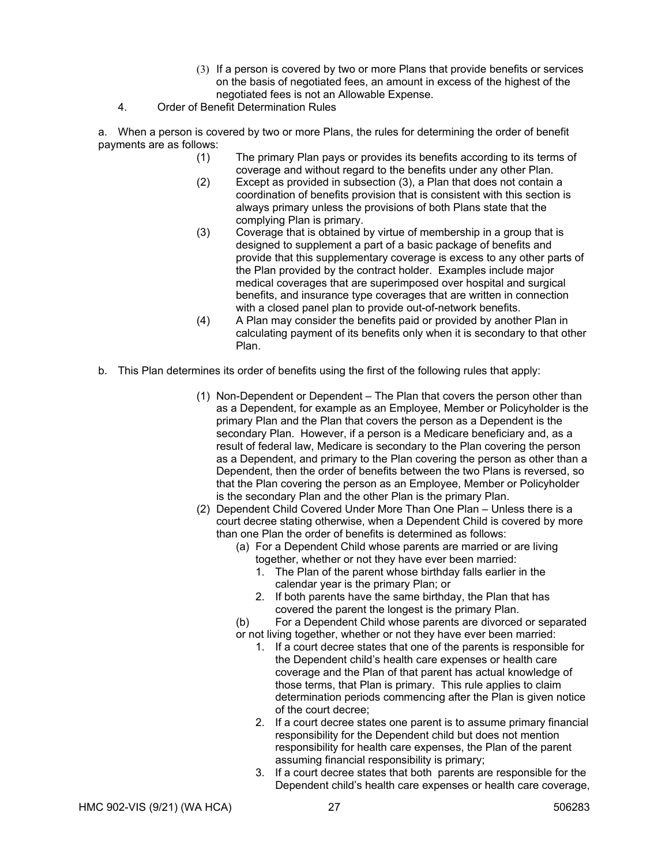- (3) If a person is covered by two or more Plans that provide benefits or services on the basis of negotiated fees, an amount in excess of the highest of the negotiated fees is not an Allowable Expense.
- 4. Order of Benefit Determination Rules

a. When a person is covered by two or more Plans, the rules for determining the order of benefit payments are as follows:

- (1) The primary Plan pays or provides its benefits according to its terms of coverage and without regard to the benefits under any other Plan.
- (2) Except as provided in subsection (3), a Plan that does not contain a coordination of benefits provision that is consistent with this section is always primary unless the provisions of both Plans state that the complying Plan is primary.
- (3) Coverage that is obtained by virtue of membership in a group that is designed to supplement a part of a basic package of benefits and provide that this supplementary coverage is excess to any other parts of the Plan provided by the contract holder. Examples include major medical coverages that are superimposed over hospital and surgical benefits, and insurance type coverages that are written in connection with a closed panel plan to provide out-of-network benefits.
- (4) A Plan may consider the benefits paid or provided by another Plan in calculating payment of its benefits only when it is secondary to that other Plan.
- b. This Plan determines its order of benefits using the first of the following rules that apply:
	- (1) Non-Dependent or Dependent The Plan that covers the person other than as a Dependent, for example as an Employee, Member or Policyholder is the primary Plan and the Plan that covers the person as a Dependent is the secondary Plan. However, if a person is a Medicare beneficiary and, as a result of federal law, Medicare is secondary to the Plan covering the person as a Dependent, and primary to the Plan covering the person as other than a Dependent, then the order of benefits between the two Plans is reversed, so that the Plan covering the person as an Employee, Member or Policyholder is the secondary Plan and the other Plan is the primary Plan.
	- (2) Dependent Child Covered Under More Than One Plan Unless there is a court decree stating otherwise, when a Dependent Child is covered by more than one Plan the order of benefits is determined as follows:
		- (a) For a Dependent Child whose parents are married or are living together, whether or not they have ever been married:
			- 1. The Plan of the parent whose birthday falls earlier in the calendar year is the primary Plan; or
			- 2. If both parents have the same birthday, the Plan that has covered the parent the longest is the primary Plan.
		- (b) For a Dependent Child whose parents are divorced or separated or not living together, whether or not they have ever been married:
			- 1. If a court decree states that one of the parents is responsible for the Dependent child's health care expenses or health care coverage and the Plan of that parent has actual knowledge of those terms, that Plan is primary. This rule applies to claim determination periods commencing after the Plan is given notice of the court decree;
			- 2. If a court decree states one parent is to assume primary financial responsibility for the Dependent child but does not mention responsibility for health care expenses, the Plan of the parent assuming financial responsibility is primary;
			- 3. If a court decree states that both parents are responsible for the Dependent child's health care expenses or health care coverage,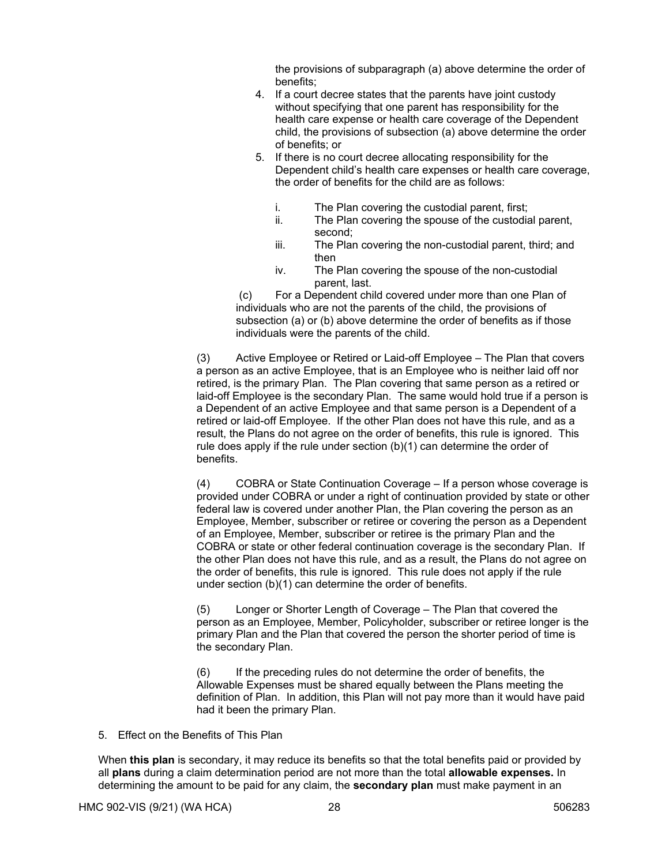the provisions of subparagraph (a) above determine the order of benefits;

- 4. If a court decree states that the parents have joint custody without specifying that one parent has responsibility for the health care expense or health care coverage of the Dependent child, the provisions of subsection (a) above determine the order of benefits; or
- 5. If there is no court decree allocating responsibility for the Dependent child's health care expenses or health care coverage, the order of benefits for the child are as follows:
	- i. The Plan covering the custodial parent, first;
	- ii. The Plan covering the spouse of the custodial parent, second;
	- iii. The Plan covering the non-custodial parent, third; and then
	- iv. The Plan covering the spouse of the non-custodial parent, last.

 (c) For a Dependent child covered under more than one Plan of individuals who are not the parents of the child, the provisions of subsection (a) or (b) above determine the order of benefits as if those individuals were the parents of the child.

 (3) Active Employee or Retired or Laid-off Employee – The Plan that covers a person as an active Employee, that is an Employee who is neither laid off nor retired, is the primary Plan. The Plan covering that same person as a retired or laid-off Employee is the secondary Plan. The same would hold true if a person is a Dependent of an active Employee and that same person is a Dependent of a retired or laid-off Employee. If the other Plan does not have this rule, and as a result, the Plans do not agree on the order of benefits, this rule is ignored. This rule does apply if the rule under section (b)(1) can determine the order of benefits.

 (4) COBRA or State Continuation Coverage – If a person whose coverage is provided under COBRA or under a right of continuation provided by state or other federal law is covered under another Plan, the Plan covering the person as an Employee, Member, subscriber or retiree or covering the person as a Dependent of an Employee, Member, subscriber or retiree is the primary Plan and the COBRA or state or other federal continuation coverage is the secondary Plan. If the other Plan does not have this rule, and as a result, the Plans do not agree on the order of benefits, this rule is ignored. This rule does not apply if the rule under section (b)(1) can determine the order of benefits.

 (5) Longer or Shorter Length of Coverage – The Plan that covered the person as an Employee, Member, Policyholder, subscriber or retiree longer is the primary Plan and the Plan that covered the person the shorter period of time is the secondary Plan.

 (6) If the preceding rules do not determine the order of benefits, the Allowable Expenses must be shared equally between the Plans meeting the definition of Plan. In addition, this Plan will not pay more than it would have paid had it been the primary Plan.

5. Effect on the Benefits of This Plan

When **this plan** is secondary, it may reduce its benefits so that the total benefits paid or provided by all **plans** during a claim determination period are not more than the total **allowable expenses.** In determining the amount to be paid for any claim, the **secondary plan** must make payment in an